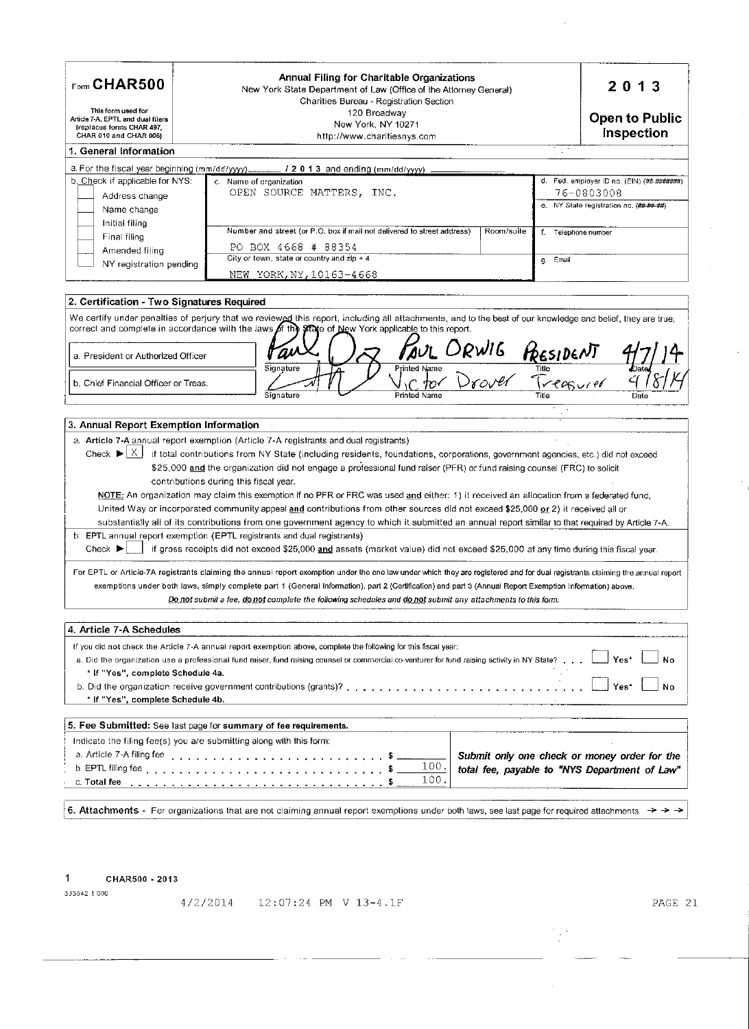| $Fform$ CHAR500<br>This form used for<br>Article 7-A, EPTL and dual filers<br>(replaces forms CHAR 497,<br>CHAR 010 and CHAR 006) | Annual Filing for Charitable Organizations<br>New York State Department of Law (Office of the Attorney General)<br>Charities Bureau - Registration Section<br>120 Broadway<br>New York, NY 10271<br>http://www.charitiesnys.com |             | 2013<br><b>Open to Public</b><br>Inspection                                                      |
|-----------------------------------------------------------------------------------------------------------------------------------|---------------------------------------------------------------------------------------------------------------------------------------------------------------------------------------------------------------------------------|-------------|--------------------------------------------------------------------------------------------------|
| 1. General Information                                                                                                            |                                                                                                                                                                                                                                 | 2000        |                                                                                                  |
|                                                                                                                                   | a. For the fiscal year beginning $(mm/dd/yyy)$ ________ / 2 0 1 3 and ending $(mm/dd/yyy)$                                                                                                                                      |             |                                                                                                  |
| b. Check if applicable for NYS:<br>Address change<br>Name change                                                                  | c. Name of organization<br>OPEN SOURCE MATTERS, INC.                                                                                                                                                                            | е.          | d. Fed. employer ID no. (EIN) (##-#######)<br>76-0803008<br>NY State registration no. (## ##-##) |
| Initial filing<br>Final filing<br>Amended filing<br>NY registration pending                                                       | Number and street (or P.O. box if mail not delivered to street address)<br>Room/suite<br>BOX 4668 # 88354<br>PO.<br>City or town, state or country and zip $+4$<br>NEW YORK, NY, 10163-4668                                     | Email<br>g. | Telephone number                                                                                 |

| We certify under penalties of perjury that we reviewed this report, including all attachments, and to the best of our knowledge and belief, they are true, |           |                                                                                                                                 |           |      |
|------------------------------------------------------------------------------------------------------------------------------------------------------------|-----------|---------------------------------------------------------------------------------------------------------------------------------|-----------|------|
| correct and complete in accordance with the laws of the state of New York applicable to this report.                                                       |           |                                                                                                                                 |           |      |
| a. President or Authorized Officer                                                                                                                         |           | RWIG<br>TOUL.                                                                                                                   | RESIDENT  |      |
| b. Chief Financial Officer or Treas.                                                                                                                       | Signature | <b>Printed Name</b><br>m.                                                                                                       | Treasurer |      |
|                                                                                                                                                            | Signature | Printed Name                                                                                                                    | Title     | Date |
|                                                                                                                                                            |           |                                                                                                                                 |           |      |
| 3. Annual Report Exemption Information                                                                                                                     |           |                                                                                                                                 |           |      |
| a. Article 7-A annual report exemption (Article 7-A registrants and dual registrants)                                                                      |           |                                                                                                                                 |           |      |
| Check $\blacktriangleright$ $\mid$ X $\mid$                                                                                                                |           | if total contributions from NY State (including residents, foundations, corporations, government agencies, etc.) did not exceed |           |      |
| contributions during this fiscal vear.                                                                                                                     |           | \$25,000 and the organization did not engage a professional fund raiser (PFR) or fund raising counsel (FRC) to solicit          |           |      |

NOTE: An organization may claim this exemption if no PFR or FRC was used and either: 1) it received an allocation from a federated fund, United Way or incorporated community appeal and contributions from other sources did not exceed \$25,000 or 2) it received all or substantially all of its contributions from one government agency to which it submitted an annual report similar to that required by Article 7-A. b. EPTL annual report exemption (EPTL registrants and dual registrants) Check ► if gross receipts did not exceed \$25,000 and assets (market value) did not exceed \$25,000 at any time during this fiscal year.

For EPTL or Article-7A registrants claiming the annual report exemption under the one law under which they are registered and for dual registrants claiming the annual report exemptions under both laws, simply complete part 1 (General Information), part 2 (Certification) and part 3 (Annual Report Exemption Information) above. Do not submit a fee, do not complete the following schedules and do not submit any attachments to this form.

| 4. Article 7-A Schedules                                                                                                                                                                                                                                                                                                            |  |                                               |
|-------------------------------------------------------------------------------------------------------------------------------------------------------------------------------------------------------------------------------------------------------------------------------------------------------------------------------------|--|-----------------------------------------------|
| If you did not check the Article 7-A annual report exemption above, complete the following for this fiscal year:                                                                                                                                                                                                                    |  |                                               |
| a. Did the organization use a professional fund raiser, fund raising counsel or commercial co-venturer for fund raising activity in NY State? [[11] Yes*                                                                                                                                                                            |  |                                               |
| * If "Yes", complete Schedule 4a.                                                                                                                                                                                                                                                                                                   |  |                                               |
|                                                                                                                                                                                                                                                                                                                                     |  | Yes*<br>No                                    |
| * If "Yes", complete Schedule 4b.                                                                                                                                                                                                                                                                                                   |  |                                               |
|                                                                                                                                                                                                                                                                                                                                     |  |                                               |
| 5. Fee Submitted: See last page for summary of fee requirements.                                                                                                                                                                                                                                                                    |  |                                               |
| Indicate the filing fee(s) you are submitting along with this form:                                                                                                                                                                                                                                                                 |  |                                               |
|                                                                                                                                                                                                                                                                                                                                     |  |                                               |
|                                                                                                                                                                                                                                                                                                                                     |  | Submit only one check or money order for the  |
| a. Article 7-A filing fee enterpreed to contact the context of the context of the context of the context of the context of the context of the context of the context of the context of the context of the context of the conte<br>b. EPTL filing fee $\ldots \ldots \ldots \ldots \ldots \ldots \ldots \ldots \ldots \ldots \ldots$ |  | total fee, payable to "NYS Department of Law" |

6. Attachments - For organizations that are not claiming annual report exemptions under both laws, see last page for required attachments  $\rightarrow \rightarrow \rightarrow$ 

 $\mathbf{1}$ CHAR500 - 2013

2 Certification - Two Signatures Required

3J3542 1000

4/2/2014 12:07:24 PM V 13-4.1F

PAGE 21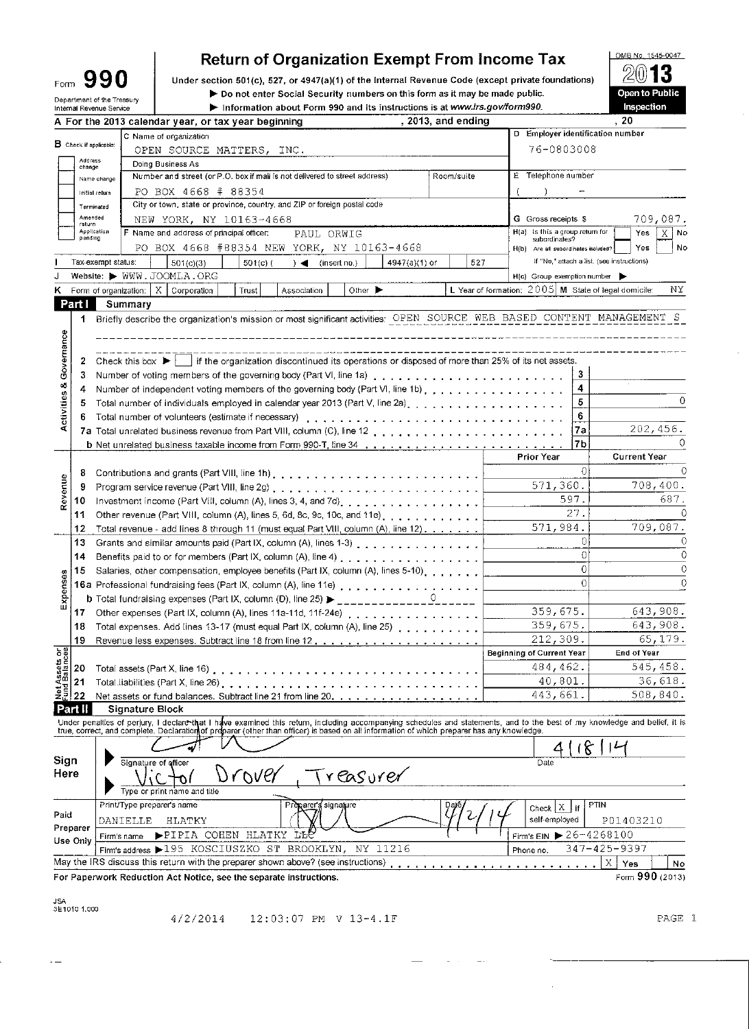| Form                                  |                               | 990                                  | <b>Return of Organization Exempt From Income Tax</b><br>Under section 501(c), 527, or 4947(a)(1) of the Internal Revenue Code (except private foundations)                 |          |                                                        |                   | OMB No. 1545-0047                          |  |  |
|---------------------------------------|-------------------------------|--------------------------------------|----------------------------------------------------------------------------------------------------------------------------------------------------------------------------|----------|--------------------------------------------------------|-------------------|--------------------------------------------|--|--|
|                                       |                               | Department of the Treasury           | Do not enter Social Security numbers on this form as it may be made public.                                                                                                |          |                                                        |                   | Open to Public                             |  |  |
|                                       |                               | Internal Revenue Service             | Information about Form 990 and its instructions is at www.irs.gov/form990.                                                                                                 |          |                                                        | Inspection<br>.20 |                                            |  |  |
|                                       |                               |                                      | , 2013, and ending<br>A For the 2013 calendar year, or tax year beginning<br>C Name of organization                                                                        |          | D Employer identification number                       |                   |                                            |  |  |
|                                       | <b>B</b> Check if applicable: |                                      | OPEN SOURCE MATTERS, INC.                                                                                                                                                  |          | 76-0803008                                             |                   |                                            |  |  |
|                                       | Address<br>change             |                                      | Doing Business As                                                                                                                                                          |          |                                                        |                   |                                            |  |  |
|                                       | Name change                   |                                      | Number and street (or P.O. box if mail is not delivered to street address)<br>Room/suite                                                                                   |          | E Telephone number                                     |                   |                                            |  |  |
|                                       | Initial return                |                                      | PO BOX 4668 # 88354                                                                                                                                                        |          |                                                        |                   |                                            |  |  |
|                                       | Terminated<br>Amended         |                                      | City or town, state or province, country, and ZIP or foreign postal code                                                                                                   |          |                                                        |                   |                                            |  |  |
|                                       | return<br>Application         |                                      | NEW YORK, NY 10163-4668<br>F Name and address of principal officer:                                                                                                        |          | G Gross receipts \$<br>H(a) is this a group return for |                   | 709,087.<br>X No<br>Yes                    |  |  |
|                                       | pending                       |                                      | PAUL ORWIG<br>PO BOX 4668 #88354 NEW YORK, NY 10163-4668                                                                                                                   |          | subordinates?<br>H(b) Are all subordinates included?   |                   | No<br>Yes                                  |  |  |
|                                       |                               | Tax-exempt status:                   | 527<br>501(c)(3)<br>$501(c)$ (<br>$) \triangleleft$ (insert no.)<br>4947(a)(1) or                                                                                          |          |                                                        |                   | If "No," attach a list. (see instructions) |  |  |
|                                       |                               |                                      | Website: WWW.JOOMLA.ORG                                                                                                                                                    |          | H(c) Group exemption number                            |                   |                                            |  |  |
| ĸ                                     |                               |                                      | Form of organization: $\mid X \mid$ Corporation<br>Trust<br>Other $\blacktriangleright$<br>Association                                                                     |          | L Year of formation: 2005 M State of legal domicile:   |                   | ΝY                                         |  |  |
|                                       | Part I                        | Summary                              |                                                                                                                                                                            |          |                                                        |                   |                                            |  |  |
|                                       | 1                             |                                      | Briefly describe the organization's mission or most significant activities: OPEN SOURCE WEB BASED CONTENT MANAGEMENT S                                                     |          |                                                        |                   |                                            |  |  |
|                                       |                               |                                      |                                                                                                                                                                            |          |                                                        |                   |                                            |  |  |
|                                       |                               |                                      |                                                                                                                                                                            |          |                                                        |                   |                                            |  |  |
| Activities & Governance               | 2                             | Check this box $\blacktriangleright$ | if the organization discontinued its operations or disposed of more than 25% of its net assets.                                                                            |          |                                                        |                   |                                            |  |  |
|                                       | 3                             |                                      |                                                                                                                                                                            |          |                                                        | 3                 |                                            |  |  |
|                                       | 4                             |                                      | Number of independent voting members of the governing body (Part VI, line 1b), , , , , , , , , , , , , , , , , ,                                                           |          |                                                        | 4<br>5            | $\Omega$                                   |  |  |
|                                       | 5                             |                                      |                                                                                                                                                                            |          |                                                        | 6                 |                                            |  |  |
|                                       | 6                             |                                      | Total number of volunteers (estimate if necessary)                                                                                                                         |          |                                                        | 7a                | 202,456.                                   |  |  |
|                                       |                               |                                      |                                                                                                                                                                            |          |                                                        | 7b                | $\circ$                                    |  |  |
|                                       |                               |                                      |                                                                                                                                                                            |          | <b>Prior Year</b>                                      |                   | <b>Current Year</b>                        |  |  |
|                                       | 8                             |                                      |                                                                                                                                                                            |          |                                                        | $\Omega$          | $\Omega$                                   |  |  |
|                                       | 9                             |                                      |                                                                                                                                                                            | 571,360. |                                                        |                   | 708,400.                                   |  |  |
| Revenue                               | 10                            |                                      |                                                                                                                                                                            |          | 597.                                                   |                   | 687.                                       |  |  |
|                                       | 11                            |                                      | Other revenue (Part VIII, column (A), lines 5, 6d, 8c, 9c, 10c, and 11e)                                                                                                   |          |                                                        | 27.               | $\Omega$                                   |  |  |
|                                       | 12                            |                                      | Total revenue - add lines 8 through 11 (must equal Part VIII, column (A), line 12).                                                                                        |          | 571,984.                                               |                   | 709,087.                                   |  |  |
|                                       | 13                            |                                      | Grants and similar amounts paid (Part IX, column (A), lines 1-3)                                                                                                           |          |                                                        | 0<br>$\Omega$     | 0<br>$\Omega$                              |  |  |
|                                       | 14<br>15                      |                                      | Benefits paid to or for members (Part IX, column (A), line 4)<br>Salaries, other compensation, employee benefits (Part IX, column (A), lines 5-10)                         |          |                                                        | $\Omega$          | $\mathbf 0$                                |  |  |
|                                       |                               |                                      |                                                                                                                                                                            |          |                                                        | $\Omega$          | $\Omega$                                   |  |  |
|                                       |                               |                                      | b Total fundraising expenses (Part IX, column (D), line 25) >                                                                                                              |          |                                                        |                   |                                            |  |  |
| 몇                                     | 17                            |                                      | Other expenses (Part IX, column (A), lines 11a-11d, 11f-24e)                                                                                                               |          | 359,675.                                               |                   | 643,908.                                   |  |  |
|                                       | 18                            |                                      | Total expenses. Add lines 13-17 (must equal Part IX, column (A), line 25)                                                                                                  |          | 359,675.                                               |                   | 643,908.                                   |  |  |
|                                       | 19                            |                                      |                                                                                                                                                                            |          | 212,309.                                               |                   | 65, 179.                                   |  |  |
| <b>Net Assets or</b><br>Fund Balances |                               |                                      |                                                                                                                                                                            |          | <b>Beginning of Current Year</b>                       |                   | End of Year                                |  |  |
|                                       | 20                            |                                      |                                                                                                                                                                            |          | 484,462.                                               |                   | 545,458.                                   |  |  |
|                                       | 21                            |                                      |                                                                                                                                                                            |          | 40,801.                                                |                   | 36,618.                                    |  |  |
|                                       | 22                            |                                      | Net assets or fund balances. Subtract line 21 from line 20.                                                                                                                |          | 443,661.                                               |                   | 508,840.                                   |  |  |
| Part II                               |                               | Signature Block                      | Under penalties of perjury, I declare that I have examined this return, including accompanying schedules and statements, and to the best of my knowledge and belief, it is |          |                                                        |                   |                                            |  |  |
|                                       |                               |                                      | true, correct, and complete. Declaration of preparer (other than officer) is based on all information of which preparer has any knowledge.                                 |          |                                                        |                   |                                            |  |  |
|                                       |                               |                                      |                                                                                                                                                                            |          |                                                        |                   |                                            |  |  |
| Sign                                  |                               | Signature of officer                 |                                                                                                                                                                            |          | Date                                                   |                   |                                            |  |  |
| Here                                  |                               |                                      | Drover<br>reasurer                                                                                                                                                         |          |                                                        |                   |                                            |  |  |
|                                       |                               |                                      | Type or print name and title                                                                                                                                               |          |                                                        |                   |                                            |  |  |
|                                       |                               | Print/Type preparer's name           | Preparer's signature                                                                                                                                                       |          | Check $X$ if                                           | PTIN              |                                            |  |  |
| Paid                                  | Preparer                      | DANIELLE                             | HLATKY                                                                                                                                                                     |          | self-employed                                          |                   | P01403210                                  |  |  |
|                                       | Use Only                      | Firm's name                          | PIPIA COHEN HLATKY<br>тъе                                                                                                                                                  |          | Firm's EIN > 26-4268100                                |                   |                                            |  |  |
|                                       |                               |                                      | Firm's address > 195 KOSCIUSZKO ST BROOKLYN,<br>NY 11216                                                                                                                   |          | Phone no.                                              |                   | 347-425-9397                               |  |  |
|                                       |                               |                                      | May the IRS discuss this return with the preparer shown above? (see instructions)                                                                                          |          |                                                        |                   | X<br>Yes<br>No                             |  |  |
|                                       |                               |                                      | For Paperwork Reduction Act Notice, see the separate instructions.                                                                                                         |          |                                                        |                   | Form 990 (2013)                            |  |  |
| JSA                                   |                               |                                      |                                                                                                                                                                            |          |                                                        |                   |                                            |  |  |
|                                       | 3E1010 1.000                  |                                      |                                                                                                                                                                            |          |                                                        |                   |                                            |  |  |

 $4/2/2014$  12:03:07 PM V 13-4.1F

 $\mathbb{Z}^2$ 

 $\langle \frac{1}{2},\ldots \rangle$ 

 $\hat{\mathcal{A}}$ 

 $\Box$ 

PAGE 1

 $\sim$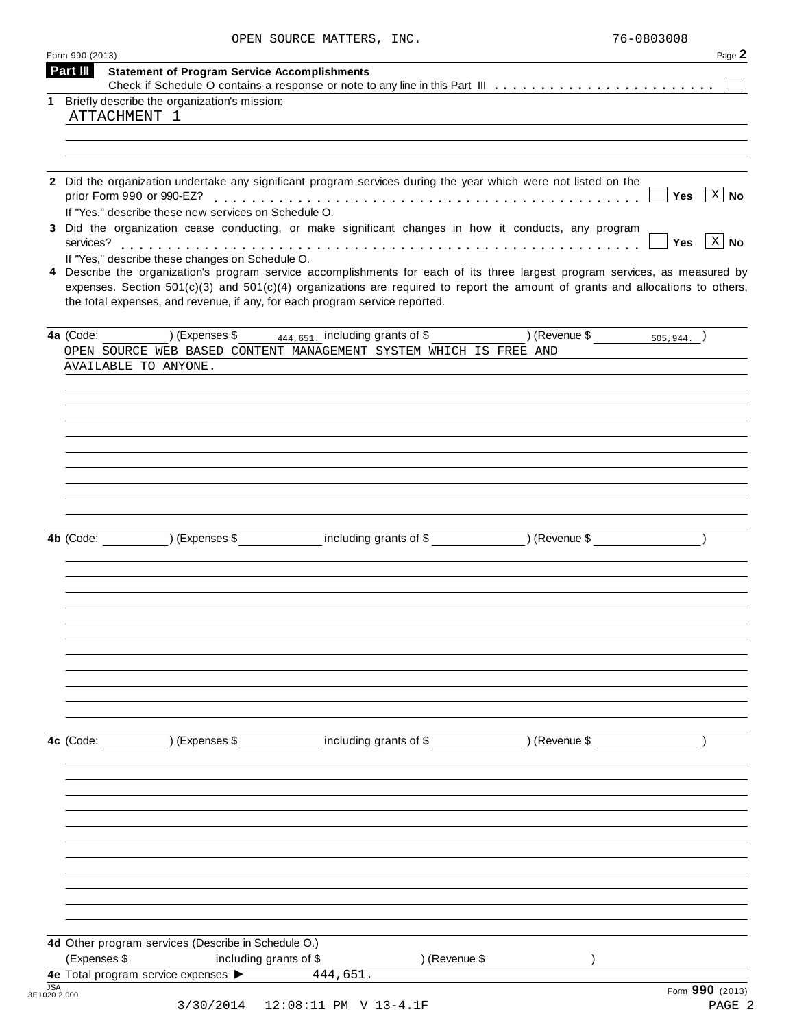| OPEN SOURCE MATTERS, INC. |  | 76-0803008 |
|---------------------------|--|------------|
|                           |  |            |

|             | Form 990 (2013)<br>Part III                                                                                                                                                                                                                                                                                                                       | Page 2                         |
|-------------|---------------------------------------------------------------------------------------------------------------------------------------------------------------------------------------------------------------------------------------------------------------------------------------------------------------------------------------------------|--------------------------------|
|             | <b>Statement of Program Service Accomplishments</b>                                                                                                                                                                                                                                                                                               |                                |
| $\mathbf 1$ | Briefly describe the organization's mission:                                                                                                                                                                                                                                                                                                      |                                |
|             | ATTACHMENT 1                                                                                                                                                                                                                                                                                                                                      |                                |
|             |                                                                                                                                                                                                                                                                                                                                                   |                                |
|             |                                                                                                                                                                                                                                                                                                                                                   |                                |
|             |                                                                                                                                                                                                                                                                                                                                                   |                                |
|             | 2 Did the organization undertake any significant program services during the year which were not listed on the<br>If "Yes," describe these new services on Schedule O.                                                                                                                                                                            | $\mid X \mid$ No<br>Yes        |
|             | 3 Did the organization cease conducting, or make significant changes in how it conducts, any program                                                                                                                                                                                                                                              | $\mid X \mid$ No<br><b>Yes</b> |
|             | If "Yes," describe these changes on Schedule O.                                                                                                                                                                                                                                                                                                   |                                |
|             | 4 Describe the organization's program service accomplishments for each of its three largest program services, as measured by<br>expenses. Section $501(c)(3)$ and $501(c)(4)$ organizations are required to report the amount of grants and allocations to others,<br>the total expenses, and revenue, if any, for each program service reported. |                                |
|             | $(1)$ (Expenses \$ $\frac{444,651}{2}$ including grants of \$<br>$(1)$ (Revenue \$ $505,944.$ )<br>4a (Code:                                                                                                                                                                                                                                      |                                |
|             | OPEN SOURCE WEB BASED CONTENT MANAGEMENT SYSTEM WHICH IS FREE AND                                                                                                                                                                                                                                                                                 |                                |
|             | AVAILABLE TO ANYONE.                                                                                                                                                                                                                                                                                                                              |                                |
|             |                                                                                                                                                                                                                                                                                                                                                   |                                |
|             |                                                                                                                                                                                                                                                                                                                                                   |                                |
|             |                                                                                                                                                                                                                                                                                                                                                   |                                |
|             |                                                                                                                                                                                                                                                                                                                                                   |                                |
|             |                                                                                                                                                                                                                                                                                                                                                   |                                |
|             |                                                                                                                                                                                                                                                                                                                                                   |                                |
|             |                                                                                                                                                                                                                                                                                                                                                   |                                |
|             |                                                                                                                                                                                                                                                                                                                                                   |                                |
|             |                                                                                                                                                                                                                                                                                                                                                   |                                |
|             | (Expenses \$ including grants of \$ ) (Revenue \$<br>4b (Code:                                                                                                                                                                                                                                                                                    |                                |
|             |                                                                                                                                                                                                                                                                                                                                                   |                                |
|             |                                                                                                                                                                                                                                                                                                                                                   |                                |
|             |                                                                                                                                                                                                                                                                                                                                                   |                                |
|             |                                                                                                                                                                                                                                                                                                                                                   |                                |
|             |                                                                                                                                                                                                                                                                                                                                                   |                                |
|             |                                                                                                                                                                                                                                                                                                                                                   |                                |
|             |                                                                                                                                                                                                                                                                                                                                                   |                                |
|             |                                                                                                                                                                                                                                                                                                                                                   |                                |
|             |                                                                                                                                                                                                                                                                                                                                                   |                                |
|             |                                                                                                                                                                                                                                                                                                                                                   |                                |
|             |                                                                                                                                                                                                                                                                                                                                                   |                                |
|             | including grants of \$ (Revenue \$)<br>4c (Code:<br>) (Expenses \$                                                                                                                                                                                                                                                                                |                                |
|             |                                                                                                                                                                                                                                                                                                                                                   |                                |
|             |                                                                                                                                                                                                                                                                                                                                                   |                                |
|             |                                                                                                                                                                                                                                                                                                                                                   |                                |
|             |                                                                                                                                                                                                                                                                                                                                                   |                                |
|             |                                                                                                                                                                                                                                                                                                                                                   |                                |
|             |                                                                                                                                                                                                                                                                                                                                                   |                                |
|             |                                                                                                                                                                                                                                                                                                                                                   |                                |
|             |                                                                                                                                                                                                                                                                                                                                                   |                                |
|             |                                                                                                                                                                                                                                                                                                                                                   |                                |
|             |                                                                                                                                                                                                                                                                                                                                                   |                                |
|             |                                                                                                                                                                                                                                                                                                                                                   |                                |
|             | 4d Other program services (Describe in Schedule O.)                                                                                                                                                                                                                                                                                               |                                |
|             | (Expenses \$<br>including grants of \$<br>) (Revenue \$                                                                                                                                                                                                                                                                                           |                                |
|             | 4e Total program service expenses ><br>444,651.                                                                                                                                                                                                                                                                                                   |                                |
| <b>JSA</b>  |                                                                                                                                                                                                                                                                                                                                                   | Form 990 (2013)                |
|             | 3E1020 2.000<br>3/30/2014                                                                                                                                                                                                                                                                                                                         | PAGE 2                         |
|             | 12:08:11 PM V 13-4.1F                                                                                                                                                                                                                                                                                                                             |                                |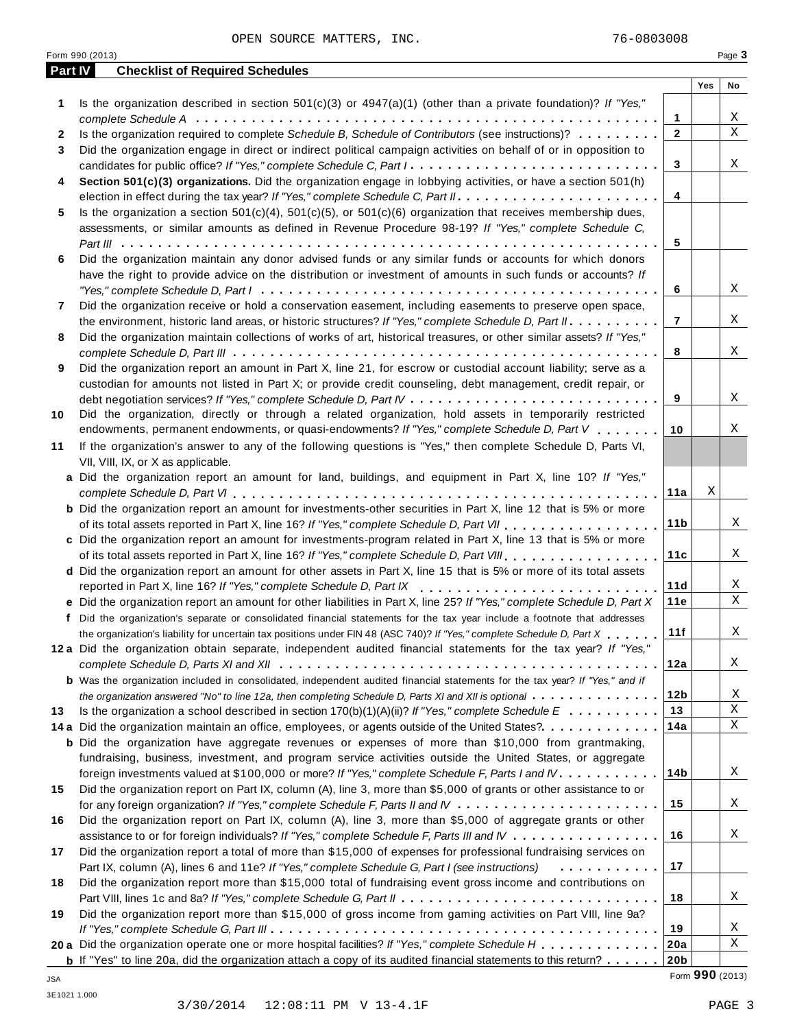|         | Form 990 (2013)                                                                                                                                                                                       |     | Page 3                  |
|---------|-------------------------------------------------------------------------------------------------------------------------------------------------------------------------------------------------------|-----|-------------------------|
| Part IV | <b>Checklist of Required Schedules</b>                                                                                                                                                                |     |                         |
|         |                                                                                                                                                                                                       | Yes | No                      |
| 1       | Is the organization described in section $501(c)(3)$ or $4947(a)(1)$ (other than a private foundation)? If "Yes,"                                                                                     |     |                         |
|         | $\mathbf{1}$                                                                                                                                                                                          |     | Χ                       |
| 2       | Is the organization required to complete Schedule B, Schedule of Contributors (see instructions)?<br>$\mathbf{2}$                                                                                     |     | $\overline{\mathbf{x}}$ |
| 3       | Did the organization engage in direct or indirect political campaign activities on behalf of or in opposition to                                                                                      |     |                         |
|         | 3<br>candidates for public office? If "Yes," complete Schedule C, Part I.                                                                                                                             |     | Χ                       |
| 4       | Section 501(c)(3) organizations. Did the organization engage in lobbying activities, or have a section 501(h)                                                                                         |     |                         |
|         | 4                                                                                                                                                                                                     |     |                         |
| 5       | Is the organization a section $501(c)(4)$ , $501(c)(5)$ , or $501(c)(6)$ organization that receives membership dues,                                                                                  |     |                         |
|         | assessments, or similar amounts as defined in Revenue Procedure 98-19? If "Yes," complete Schedule C,                                                                                                 |     |                         |
|         | 5                                                                                                                                                                                                     |     |                         |
| 6       | Did the organization maintain any donor advised funds or any similar funds or accounts for which donors                                                                                               |     |                         |
|         | have the right to provide advice on the distribution or investment of amounts in such funds or accounts? If                                                                                           |     |                         |
|         | 6                                                                                                                                                                                                     |     | Χ                       |
| 7       | Did the organization receive or hold a conservation easement, including easements to preserve open space,                                                                                             |     |                         |
|         | $\overline{7}$<br>the environment, historic land areas, or historic structures? If "Yes," complete Schedule D, Part II.                                                                               |     | Χ                       |
| 8       | Did the organization maintain collections of works of art, historical treasures, or other similar assets? If "Yes,"                                                                                   |     |                         |
|         | 8                                                                                                                                                                                                     |     | Χ                       |
| 9       | Did the organization report an amount in Part X, line 21, for escrow or custodial account liability; serve as a                                                                                       |     |                         |
|         | custodian for amounts not listed in Part X; or provide credit counseling, debt management, credit repair, or                                                                                          |     |                         |
|         | 9                                                                                                                                                                                                     |     | Χ                       |
| 10      | Did the organization, directly or through a related organization, hold assets in temporarily restricted                                                                                               |     |                         |
|         | endowments, permanent endowments, or quasi-endowments? If "Yes," complete Schedule D, Part V<br>10                                                                                                    |     | Χ                       |
| 11      | If the organization's answer to any of the following questions is "Yes," then complete Schedule D, Parts VI,                                                                                          |     |                         |
|         | VII, VIII, IX, or X as applicable.                                                                                                                                                                    |     |                         |
|         | a Did the organization report an amount for land, buildings, and equipment in Part X, line 10? If "Yes,"                                                                                              |     |                         |
|         | 11a                                                                                                                                                                                                   | Χ   |                         |
|         | <b>b</b> Did the organization report an amount for investments-other securities in Part X, line 12 that is 5% or more                                                                                 |     |                         |
|         | 11 <sub>b</sub>                                                                                                                                                                                       |     | Χ                       |
|         | c Did the organization report an amount for investments-program related in Part X, line 13 that is 5% or more                                                                                         |     |                         |
|         | 11c                                                                                                                                                                                                   |     | Χ                       |
|         | d Did the organization report an amount for other assets in Part X, line 15 that is 5% or more of its total assets                                                                                    |     |                         |
|         | 11d                                                                                                                                                                                                   |     | Χ                       |
|         | reported in Part X, line 16? If "Yes," complete Schedule D, Part IX<br>11e<br>e Did the organization report an amount for other liabilities in Part X, line 25? If "Yes," complete Schedule D, Part X |     | $\mathbf X$             |
|         |                                                                                                                                                                                                       |     |                         |
|         | f Did the organization's separate or consolidated financial statements for the tax year include a footnote that addresses                                                                             |     |                         |
|         | 11f<br>the organization's liability for uncertain tax positions under FIN 48 (ASC 740)? If "Yes," complete Schedule D, Part X.                                                                        |     | Χ                       |
|         | 12a Did the organization obtain separate, independent audited financial statements for the tax year? If "Yes,"                                                                                        |     |                         |
|         | 12a                                                                                                                                                                                                   |     | X                       |
|         | <b>b</b> Was the organization included in consolidated, independent audited financial statements for the tax year? If "Yes," and if                                                                   |     |                         |
|         | 12 <sub>b</sub><br>the organization answered "No" to line 12a, then completing Schedule D, Parts XI and XII is optional                                                                               |     | Χ<br>$\mathbf X$        |
| 13      | 13<br>Is the organization a school described in section $170(b)(1)(A)(ii)?$ If "Yes," complete Schedule $E_1, \ldots, \ldots, \ldots$                                                                 |     |                         |
|         | 14a<br>14 a Did the organization maintain an office, employees, or agents outside of the United States?.                                                                                              |     | Χ                       |
|         | <b>b</b> Did the organization have aggregate revenues or expenses of more than \$10,000 from grantmaking,                                                                                             |     |                         |
|         | fundraising, business, investment, and program service activities outside the United States, or aggregate                                                                                             |     |                         |
|         | 14 <sub>b</sub><br>foreign investments valued at \$100,000 or more? If "Yes," complete Schedule F, Parts I and IV                                                                                     |     | Χ                       |
| 15      | Did the organization report on Part IX, column (A), line 3, more than \$5,000 of grants or other assistance to or                                                                                     |     |                         |
|         | 15                                                                                                                                                                                                    |     | X                       |
| 16      | Did the organization report on Part IX, column (A), line 3, more than \$5,000 of aggregate grants or other                                                                                            |     |                         |
|         | 16<br>assistance to or for foreign individuals? If "Yes," complete Schedule F, Parts III and IV                                                                                                       |     | X                       |
| 17      | Did the organization report a total of more than \$15,000 of expenses for professional fundraising services on                                                                                        |     |                         |
|         | 17<br>Part IX, column (A), lines 6 and 11e? If "Yes," complete Schedule G, Part I (see instructions)<br>.                                                                                             |     |                         |
| 18      | Did the organization report more than \$15,000 total of fundraising event gross income and contributions on                                                                                           |     |                         |
|         | 18                                                                                                                                                                                                    |     | Χ                       |
| 19      | Did the organization report more than \$15,000 of gross income from gaming activities on Part VIII, line 9a?                                                                                          |     |                         |
|         | 19                                                                                                                                                                                                    |     | Χ                       |
|         | 20 a Did the organization operate one or more hospital facilities? If "Yes," complete Schedule H<br>20a                                                                                               |     | Χ                       |
|         | 20 <sub>b</sub><br><b>b</b> If "Yes" to line 20a, did the organization attach a copy of its audited financial statements to this return?                                                              |     |                         |

Form **990** (2013) JSA

3E1021 1.000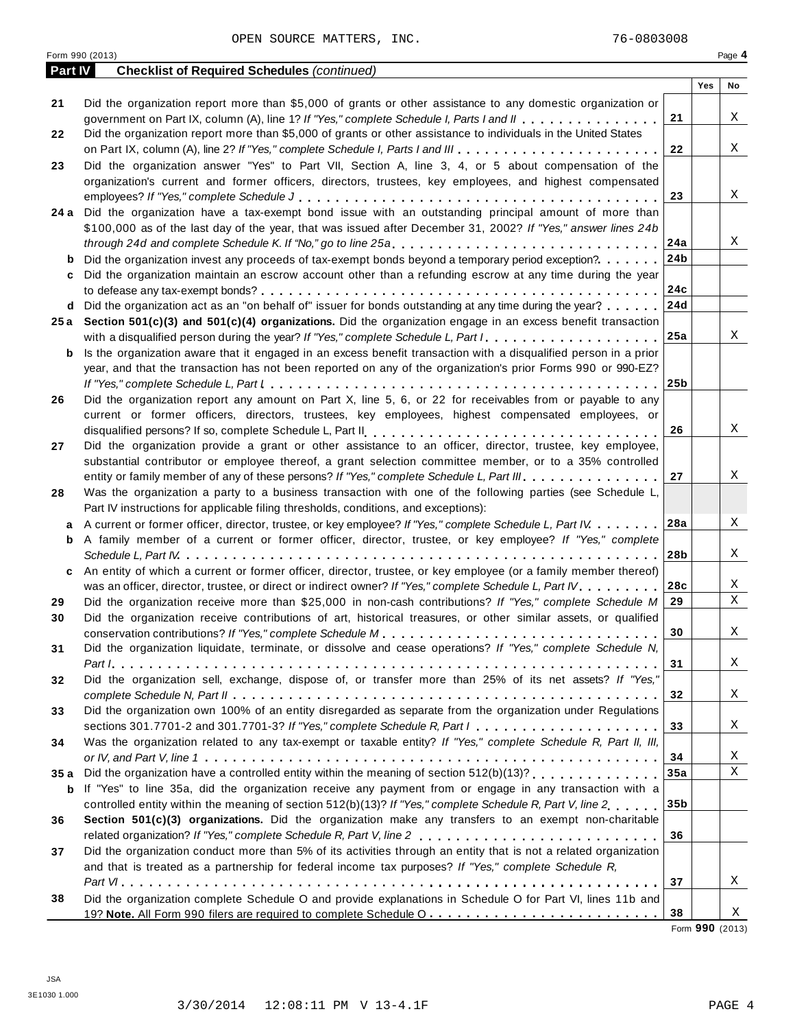|                | Form 990 (2013)                                                                                                                     |                 |     | Page 4       |
|----------------|-------------------------------------------------------------------------------------------------------------------------------------|-----------------|-----|--------------|
| <b>Part IV</b> | <b>Checklist of Required Schedules (continued)</b>                                                                                  |                 |     |              |
|                |                                                                                                                                     |                 | Yes | No           |
| 21             | Did the organization report more than \$5,000 of grants or other assistance to any domestic organization or                         | 21              |     | Χ            |
|                | government on Part IX, column (A), line 1? If "Yes," complete Schedule I, Parts I and II                                            |                 |     |              |
| 22             | Did the organization report more than \$5,000 of grants or other assistance to individuals in the United States                     |                 |     |              |
|                |                                                                                                                                     | 22              |     | Χ            |
| 23             | Did the organization answer "Yes" to Part VII, Section A, line 3, 4, or 5 about compensation of the                                 |                 |     |              |
|                | organization's current and former officers, directors, trustees, key employees, and highest compensated                             |                 |     |              |
|                |                                                                                                                                     | 23              |     | Χ            |
|                | 24 a Did the organization have a tax-exempt bond issue with an outstanding principal amount of more than                            |                 |     |              |
|                | \$100,000 as of the last day of the year, that was issued after December 31, 2002? If "Yes," answer lines 24b                       |                 |     |              |
|                | through 24d and complete Schedule K. If "No," go to line 25a                                                                        | 24a             |     | Χ            |
| b              | Did the organization invest any proceeds of tax-exempt bonds beyond a temporary period exception?                                   | 24b             |     |              |
| c              | Did the organization maintain an escrow account other than a refunding escrow at any time during the year                           |                 |     |              |
|                |                                                                                                                                     | 24c             |     |              |
| d              | Did the organization act as an "on behalf of" issuer for bonds outstanding at any time during the year?                             | 24d             |     |              |
|                | 25a Section 501(c)(3) and 501(c)(4) organizations. Did the organization engage in an excess benefit transaction                     |                 |     |              |
|                | with a disqualified person during the year? If "Yes," complete Schedule L, Part I                                                   | 25a             |     | Χ            |
| b              | Is the organization aware that it engaged in an excess benefit transaction with a disqualified person in a prior                    |                 |     |              |
|                | year, and that the transaction has not been reported on any of the organization's prior Forms 990 or 990-EZ?                        |                 |     |              |
|                |                                                                                                                                     | 25 <sub>b</sub> |     |              |
| 26             | Did the organization report any amount on Part X, line 5, 6, or 22 for receivables from or payable to any                           |                 |     |              |
|                | current or former officers, directors, trustees, key employees, highest compensated employees, or                                   |                 |     |              |
|                |                                                                                                                                     | 26              |     | Χ            |
| 27             | Did the organization provide a grant or other assistance to an officer, director, trustee, key employee,                            |                 |     |              |
|                | substantial contributor or employee thereof, a grant selection committee member, or to a 35% controlled                             |                 |     |              |
|                | entity or family member of any of these persons? If "Yes," complete Schedule L, Part III.                                           | 27              |     | Χ            |
| 28             | Was the organization a party to a business transaction with one of the following parties (see Schedule L,                           |                 |     |              |
|                | Part IV instructions for applicable filing thresholds, conditions, and exceptions):                                                 |                 |     |              |
| a              | A current or former officer, director, trustee, or key employee? If "Yes," complete Schedule L, Part IV                             | 28a             |     | Χ            |
| b              | A family member of a current or former officer, director, trustee, or key employee? If "Yes," complete                              |                 |     |              |
|                |                                                                                                                                     | 28b             |     | Χ            |
| c              | An entity of which a current or former officer, director, trustee, or key employee (or a family member thereof)                     |                 |     |              |
|                | was an officer, director, trustee, or direct or indirect owner? If "Yes," complete Schedule L, Part IV.                             | 28c             |     | Χ            |
| 29             | Did the organization receive more than \$25,000 in non-cash contributions? If "Yes," complete Schedule M                            | 29              |     | $\mathbf X$  |
| 30             | Did the organization receive contributions of art, historical treasures, or other similar assets, or qualified                      |                 |     |              |
|                |                                                                                                                                     | 30 <sub>o</sub> |     | X            |
| 31             | Did the organization liquidate, terminate, or dissolve and cease operations? If "Yes," complete Schedule N,                         |                 |     |              |
|                |                                                                                                                                     | 31              |     | X            |
| 32             | Did the organization sell, exchange, dispose of, or transfer more than 25% of its net assets? If "Yes,"                             |                 |     |              |
|                |                                                                                                                                     | 32              |     | X            |
| 33             | Did the organization own 100% of an entity disregarded as separate from the organization under Regulations                          |                 |     |              |
|                | sections 301.7701-2 and 301.7701-3? If "Yes," complete Schedule R, Part $l_1, \ldots, l_l, l_l, \ldots, l_l, l_l, \ldots, l_l, l_l$ | 33              |     | X            |
| 34             | Was the organization related to any tax-exempt or taxable entity? If "Yes," complete Schedule R, Part II, III,                      |                 |     |              |
|                |                                                                                                                                     | 34              |     | Χ            |
| 35a            |                                                                                                                                     | 35a             |     | $\mathbf{X}$ |
| b              | If "Yes" to line 35a, did the organization receive any payment from or engage in any transaction with a                             |                 |     |              |
|                | controlled entity within the meaning of section 512(b)(13)? If "Yes," complete Schedule R, Part V, line 2.,,,,                      | 35b             |     |              |
| 36             | Section 501(c)(3) organizations. Did the organization make any transfers to an exempt non-charitable                                |                 |     |              |
|                |                                                                                                                                     | 36              |     |              |
| 37             | Did the organization conduct more than 5% of its activities through an entity that is not a related organization                    |                 |     |              |
|                | and that is treated as a partnership for federal income tax purposes? If "Yes," complete Schedule R,                                |                 |     |              |
|                |                                                                                                                                     | 37              |     | X            |
| 38             | Did the organization complete Schedule O and provide explanations in Schedule O for Part VI, lines 11b and                          |                 |     |              |
|                |                                                                                                                                     | 38              |     | Χ            |
|                |                                                                                                                                     |                 |     |              |

Form **990** (2013)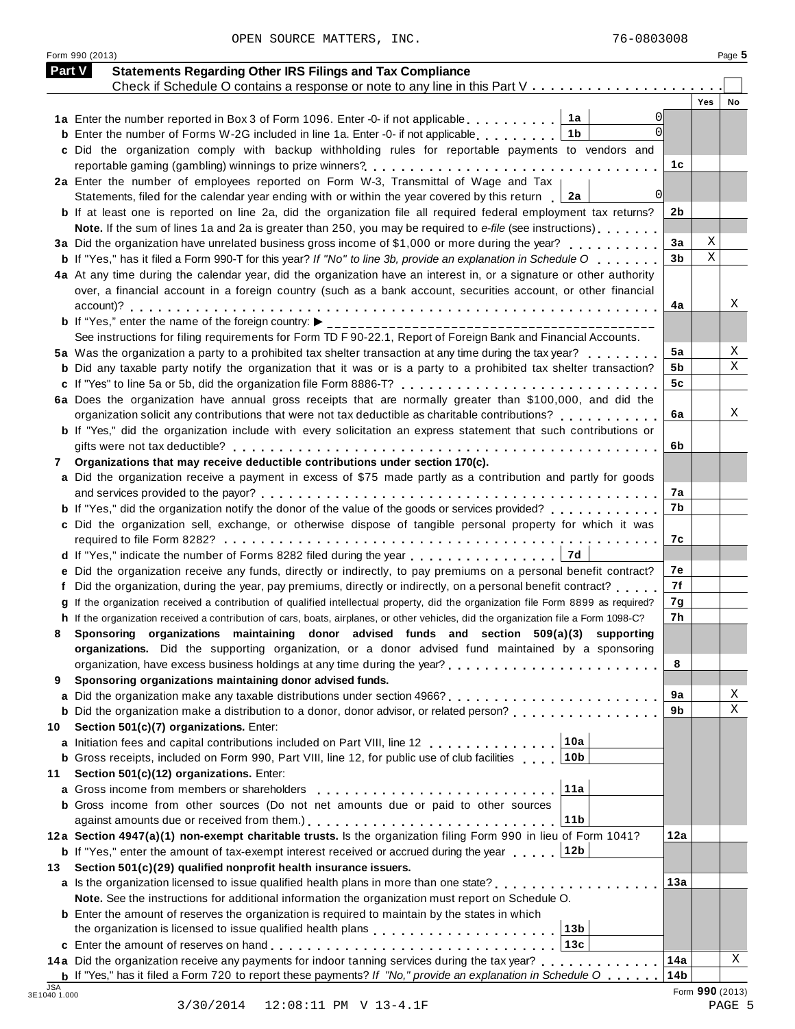|    | Check if Schedule O contains a response or note to any line in this Part V                                                                                                                                                            |                |             |    |
|----|---------------------------------------------------------------------------------------------------------------------------------------------------------------------------------------------------------------------------------------|----------------|-------------|----|
|    |                                                                                                                                                                                                                                       |                | Yes         | No |
|    | $\Omega$<br>$\Omega$                                                                                                                                                                                                                  |                |             |    |
|    | 1 <sub>b</sub><br><b>b</b> Enter the number of Forms W-2G included in line 1a. Enter -0- if not applicable $\ldots$ ,,,,,,                                                                                                            |                |             |    |
|    | c Did the organization comply with backup withholding rules for reportable payments to vendors and                                                                                                                                    |                |             |    |
|    | 2a Enter the number of employees reported on Form W-3, Transmittal of Wage and Tax                                                                                                                                                    | 1c             |             |    |
|    | 0l<br>Statements, filed for the calendar year ending with or within the year covered by this return<br>2a                                                                                                                             |                |             |    |
|    | <b>b</b> If at least one is reported on line 2a, did the organization file all required federal employment tax returns?                                                                                                               | 2b             |             |    |
|    | Note. If the sum of lines 1a and 2a is greater than 250, you may be required to e-file (see instructions)                                                                                                                             |                |             |    |
|    | 3a Did the organization have unrelated business gross income of \$1,000 or more during the year?                                                                                                                                      | 3a             | Χ           |    |
|    | <b>b</b> If "Yes," has it filed a Form 990-T for this year? If "No" to line 3b, provide an explanation in Schedule O                                                                                                                  | 3 <sub>b</sub> | $\mathbf X$ |    |
|    | 4a At any time during the calendar year, did the organization have an interest in, or a signature or other authority                                                                                                                  |                |             |    |
|    | over, a financial account in a foreign country (such as a bank account, securities account, or other financial                                                                                                                        |                |             |    |
|    |                                                                                                                                                                                                                                       | 4a             |             | X  |
|    |                                                                                                                                                                                                                                       |                |             |    |
|    | See instructions for filing requirements for Form TD F 90-22.1, Report of Foreign Bank and Financial Accounts.                                                                                                                        |                |             |    |
|    | 5a Was the organization a party to a prohibited tax shelter transaction at any time during the tax year?                                                                                                                              | 5a             |             |    |
|    | <b>b</b> Did any taxable party notify the organization that it was or is a party to a prohibited tax shelter transaction?                                                                                                             | 5b             |             | X  |
|    |                                                                                                                                                                                                                                       | 5c             |             |    |
|    | 6a Does the organization have annual gross receipts that are normally greater than \$100,000, and did the                                                                                                                             |                |             |    |
|    | organization solicit any contributions that were not tax deductible as charitable contributions?                                                                                                                                      | 6a             |             |    |
|    | <b>b</b> If "Yes," did the organization include with every solicitation an express statement that such contributions or                                                                                                               |                |             |    |
|    |                                                                                                                                                                                                                                       | 6b             |             |    |
| 7  | Organizations that may receive deductible contributions under section 170(c).                                                                                                                                                         |                |             |    |
|    | a Did the organization receive a payment in excess of \$75 made partly as a contribution and partly for goods                                                                                                                         |                |             |    |
|    |                                                                                                                                                                                                                                       | 7а             |             |    |
|    | <b>b</b> If "Yes," did the organization notify the donor of the value of the goods or services provided?                                                                                                                              | 7b             |             |    |
|    | c Did the organization sell, exchange, or otherwise dispose of tangible personal property for which it was                                                                                                                            |                |             |    |
|    |                                                                                                                                                                                                                                       | 7с             |             |    |
|    |                                                                                                                                                                                                                                       |                |             |    |
|    | e Did the organization receive any funds, directly or indirectly, to pay premiums on a personal benefit contract?                                                                                                                     | 7е             |             |    |
|    | Did the organization, during the year, pay premiums, directly or indirectly, on a personal benefit contract?                                                                                                                          | 7f             |             |    |
|    | g If the organization received a contribution of qualified intellectual property, did the organization file Form 8899 as required?                                                                                                    | 7g             |             |    |
|    | h If the organization received a contribution of cars, boats, airplanes, or other vehicles, did the organization file a Form 1098-C?                                                                                                  | 7h             |             |    |
|    | Sponsoring organizations maintaining donor advised funds and section 509(a)(3) supporting                                                                                                                                             |                |             |    |
|    | organizations. Did the supporting organization, or a donor advised fund maintained by a sponsoring                                                                                                                                    |                |             |    |
|    |                                                                                                                                                                                                                                       | 8              |             |    |
| 9  | Sponsoring organizations maintaining donor advised funds.                                                                                                                                                                             |                |             |    |
|    |                                                                                                                                                                                                                                       | 9a             |             |    |
|    | <b>b</b> Did the organization make a distribution to a donor, donor advisor, or related person?                                                                                                                                       | 9b             |             |    |
| 10 | Section 501(c)(7) organizations. Enter:                                                                                                                                                                                               |                |             |    |
|    | a Initiation fees and capital contributions included on Part VIII, line 12<br>10a                                                                                                                                                     |                |             |    |
|    | 10b<br><b>b</b> Gross receipts, included on Form 990, Part VIII, line 12, for public use of club facilities                                                                                                                           |                |             |    |
| 11 | Section 501(c)(12) organizations. Enter:                                                                                                                                                                                              |                |             |    |
|    | 11a<br>a Gross income from members or shareholders [1] [1] [1] Cross income from the shareholders [1] [1] [1] Cross income from the Superior Superior Superior Superior Superior Superior Superior Superior Superior Superior Superio |                |             |    |
|    | <b>b</b> Gross income from other sources (Do not net amounts due or paid to other sources                                                                                                                                             |                |             |    |
|    | 11b                                                                                                                                                                                                                                   | 12a            |             |    |
|    | 12a Section 4947(a)(1) non-exempt charitable trusts. Is the organization filing Form 990 in lieu of Form 1041?                                                                                                                        |                |             |    |
|    | <b>b</b> If "Yes," enter the amount of tax-exempt interest received or accrued during the year 12b                                                                                                                                    |                |             |    |
| 13 | Section 501(c)(29) qualified nonprofit health insurance issuers.<br>a Is the organization licensed to issue qualified health plans in more than one state?                                                                            | 13а            |             |    |
|    |                                                                                                                                                                                                                                       |                |             |    |
|    | Note. See the instructions for additional information the organization must report on Schedule O.                                                                                                                                     |                |             |    |
|    | <b>b</b> Enter the amount of reserves the organization is required to maintain by the states in which<br>the organization is licensed to issue qualified health plans entitled by example $\frac{13b}{13b}$                           |                |             |    |
|    |                                                                                                                                                                                                                                       |                |             |    |
|    | 14a Did the organization receive any payments for indoor tanning services during the tax year?                                                                                                                                        | 14a            |             |    |
|    |                                                                                                                                                                                                                                       |                |             |    |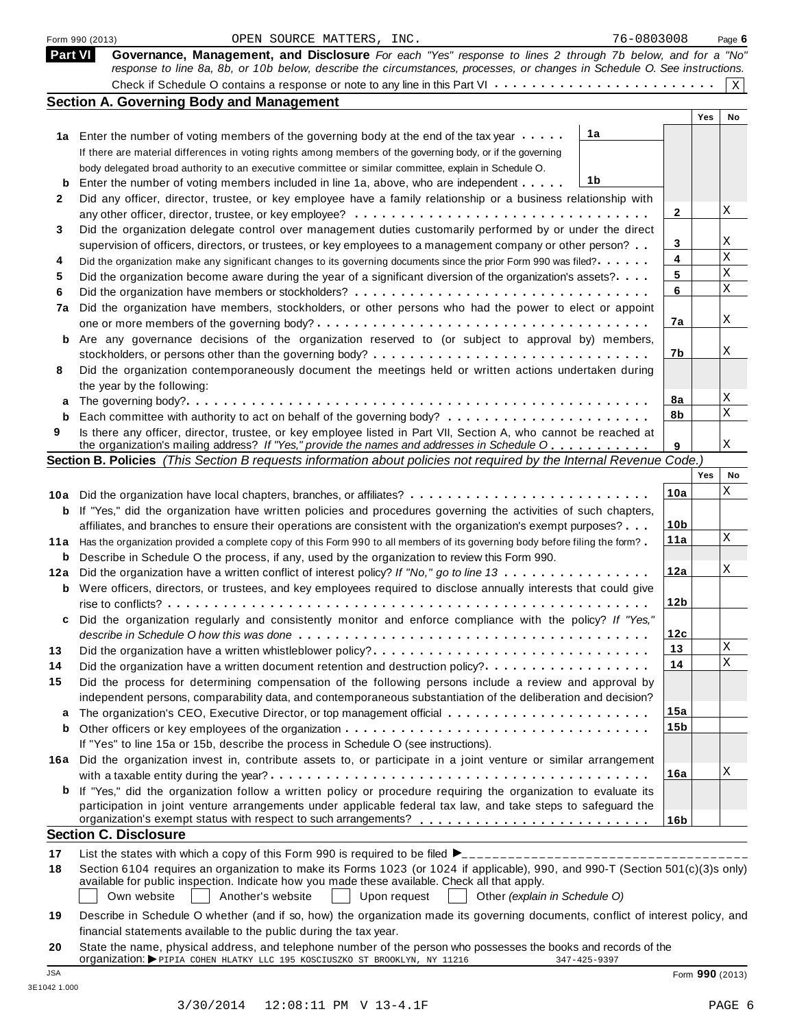|                | OPEN SOURCE MATTERS, INC.<br>Form 990 (2013)                                                                                                                                                                                            | 76-0803008      |     | Page 6       |
|----------------|-----------------------------------------------------------------------------------------------------------------------------------------------------------------------------------------------------------------------------------------|-----------------|-----|--------------|
| <b>Part VI</b> | Governance, Management, and Disclosure For each "Yes" response to lines 2 through 7b below, and for a "No"<br>response to line 8a, 8b, or 10b below, describe the circumstances, processes, or changes in Schedule O. See instructions. |                 |     |              |
|                |                                                                                                                                                                                                                                         |                 |     | $\mathbf{X}$ |
|                | <b>Section A. Governing Body and Management</b>                                                                                                                                                                                         |                 |     |              |
|                |                                                                                                                                                                                                                                         |                 | Yes | No           |
|                | 1a<br>1a Enter the number of voting members of the governing body at the end of the tax year                                                                                                                                            |                 |     |              |
|                | If there are material differences in voting rights among members of the governing body, or if the governing                                                                                                                             |                 |     |              |
|                | body delegated broad authority to an executive committee or similar committee, explain in Schedule O.                                                                                                                                   |                 |     |              |
| b              | 1b<br>Enter the number of voting members included in line 1a, above, who are independent                                                                                                                                                |                 |     |              |
| 2              | Did any officer, director, trustee, or key employee have a family relationship or a business relationship with                                                                                                                          |                 |     |              |
|                |                                                                                                                                                                                                                                         | 2               |     | Χ            |
| 3              | Did the organization delegate control over management duties customarily performed by or under the direct                                                                                                                               |                 |     |              |
|                | supervision of officers, directors, or trustees, or key employees to a management company or other person?                                                                                                                              | 3               |     | Χ            |
| 4              | Did the organization make any significant changes to its governing documents since the prior Form 990 was filed?                                                                                                                        | 4               |     | $\rm X$      |
| 5              | Did the organization become aware during the year of a significant diversion of the organization's assets?                                                                                                                              | 5               |     | $\mathbf X$  |
| 6              |                                                                                                                                                                                                                                         | 6               |     | $\mathbf X$  |
| 7a             | Did the organization have members, stockholders, or other persons who had the power to elect or appoint                                                                                                                                 |                 |     |              |
|                |                                                                                                                                                                                                                                         | 7a              |     | Χ            |
| b              | Are any governance decisions of the organization reserved to (or subject to approval by) members,                                                                                                                                       |                 |     |              |
|                |                                                                                                                                                                                                                                         | 7b              |     | Χ            |
| 8              | Did the organization contemporaneously document the meetings held or written actions undertaken during                                                                                                                                  |                 |     |              |
|                | the year by the following:                                                                                                                                                                                                              |                 |     |              |
| a              |                                                                                                                                                                                                                                         | 8a              |     | Χ            |
| b              |                                                                                                                                                                                                                                         | 8b              |     | $\mathbf X$  |
| 9              | Is there any officer, director, trustee, or key employee listed in Part VII, Section A, who cannot be reached at                                                                                                                        |                 |     |              |
|                | the organization's mailing address? If "Yes," provide the names and addresses in Schedule O                                                                                                                                             | 9               |     | Χ            |
|                | Section B. Policies (This Section B requests information about policies not required by the Internal Revenue Code.)                                                                                                                     |                 |     |              |
|                |                                                                                                                                                                                                                                         |                 | Yes | No           |
|                | 10a Did the organization have local chapters, branches, or affiliates?                                                                                                                                                                  | 10a             |     | Χ            |
| b              | If "Yes," did the organization have written policies and procedures governing the activities of such chapters,                                                                                                                          |                 |     |              |
|                | affiliates, and branches to ensure their operations are consistent with the organization's exempt purposes?                                                                                                                             | 10 <sub>b</sub> |     |              |
|                | 11a Has the organization provided a complete copy of this Form 990 to all members of its governing body before filing the form?                                                                                                         | 11a             |     | Χ            |
| b              | Describe in Schedule O the process, if any, used by the organization to review this Form 990.                                                                                                                                           |                 |     |              |
| 12a            | Did the organization have a written conflict of interest policy? If "No," go to line 13                                                                                                                                                 | 12a             |     | Χ            |
| b              | Were officers, directors, or trustees, and key employees required to disclose annually interests that could give                                                                                                                        |                 |     |              |
|                |                                                                                                                                                                                                                                         | 12 <sub>b</sub> |     |              |
| c              | Did the organization regularly and consistently monitor and enforce compliance with the policy? If "Yes,"                                                                                                                               |                 |     |              |
|                |                                                                                                                                                                                                                                         | 12c             |     |              |
| 13             | Did the organization have a written whistleblower policy?                                                                                                                                                                               | 13              |     | Χ            |
| 14             | Did the organization have a written document retention and destruction policy?                                                                                                                                                          | 14              |     | $\mathbf X$  |
| 15             | Did the process for determining compensation of the following persons include a review and approval by                                                                                                                                  |                 |     |              |
|                | independent persons, comparability data, and contemporaneous substantiation of the deliberation and decision?                                                                                                                           |                 |     |              |
| a              |                                                                                                                                                                                                                                         | 15a             |     |              |
| b              |                                                                                                                                                                                                                                         | 15 <sub>b</sub> |     |              |
|                | If "Yes" to line 15a or 15b, describe the process in Schedule O (see instructions).                                                                                                                                                     |                 |     |              |
|                | Did the organization invest in, contribute assets to, or participate in a joint venture or similar arrangement                                                                                                                          |                 |     |              |
| 16a            |                                                                                                                                                                                                                                         | 16a             |     | Χ            |
|                |                                                                                                                                                                                                                                         |                 |     |              |
| b              | If "Yes," did the organization follow a written policy or procedure requiring the organization to evaluate its<br>participation in joint venture arrangements under applicable federal tax law, and take steps to safeguard the         |                 |     |              |
|                | organization's exempt status with respect to such arrangements?                                                                                                                                                                         |                 |     |              |
|                | <b>Section C. Disclosure</b>                                                                                                                                                                                                            | 16 <sub>b</sub> |     |              |
|                |                                                                                                                                                                                                                                         |                 |     |              |
| 17             |                                                                                                                                                                                                                                         |                 |     |              |
| 18             | Section 6104 requires an organization to make its Forms 1023 (or 1024 if applicable), 990, and 990-T (Section 501(c)(3)s only)                                                                                                          |                 |     |              |
|                | available for public inspection. Indicate how you made these available. Check all that apply.<br>Another's website                                                                                                                      |                 |     |              |
|                | Own website<br>Upon request<br>Other (explain in Schedule O)                                                                                                                                                                            |                 |     |              |
| 19             | Describe in Schedule O whether (and if so, how) the organization made its governing documents, conflict of interest policy, and                                                                                                         |                 |     |              |
|                | financial statements available to the public during the tax year.                                                                                                                                                                       |                 |     |              |
| 20             | State the name, physical address, and telephone number of the person who possesses the books and records of the                                                                                                                         |                 |     |              |

| - 20 |                                                                                   |  | State the name, physical address, and telephone number of the person who possesses the books and records of the |                 |
|------|-----------------------------------------------------------------------------------|--|-----------------------------------------------------------------------------------------------------------------|-----------------|
|      | <b>Organization:</b> PPIPIA COHEN HLATKY LLC 195 KOSCIUSZKO ST BROOKLYN, NY 11216 |  | $347 - 425 - 9397$                                                                                              |                 |
| JSA  |                                                                                   |  |                                                                                                                 | Form 990 (2013) |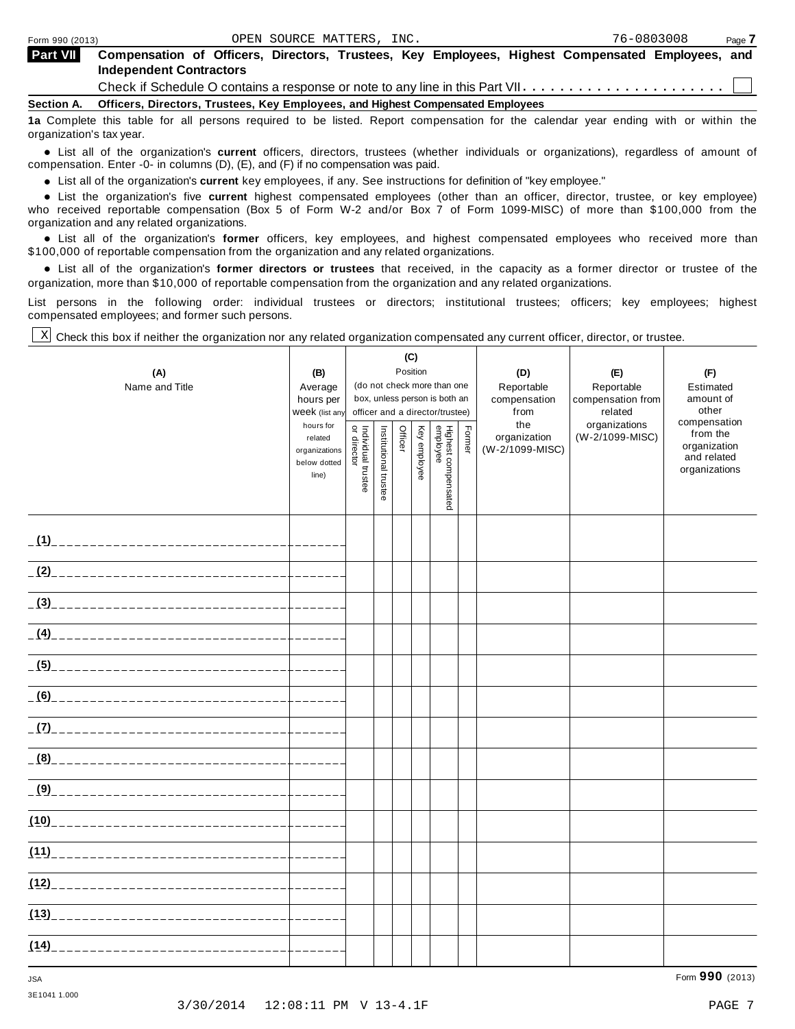| <b>Part VII</b>   | Compensation of Officers, Directors, Trustees, Key Employees, Highest Compensated Employees, and<br><b>Independent Contractors</b> |
|-------------------|------------------------------------------------------------------------------------------------------------------------------------|
|                   | Check if Schedule O contains a response or note to any line in this Part VII $\dots\dots\dots\dots\dots\dots\dots\dots\dots$       |
| <b>Section A.</b> | Officers, Directors, Trustees, Key Employees, and Highest Compensated Employees                                                    |

**1a** Complete this table for all persons required to be listed. Report compensation for the calendar year ending with or within the organization's tax year.

anization's lax year.<br>● List all of the organization's **current** officers, directors, trustees (whether individuals or organizations), regardless of amount of<br>nnensation Enter -0- in columns (D) (E) and (E) if no compensa compensation. Enter -0- in columns (D), (E), and (F) if no compensation was paid.

• List all of the organization's **current** key employees, if any. See instructions for definition of "key employee."<br>● List the experientials five expect highest expressed explores (other than an efficer director of

**Example in the organization's current** key employees, if any. See instructions for definition of key employee.<br>• List the organization's five **current** highest compensated employees (other than an officer, director, trust who received reportable compensation (Box 5 of Form W-2 and/or Box 7 of Form 1099-MISC) of more than \$100,000 from the

organization and any related organizations.<br>• List all of the organization's **former** officers, key employees, and highest compensated employees who received more than<br>\$1.00.000 of reportable componention from the erganiza \$100,000 of reportable compensation from the organization and any related organizations.

% List all of the organization's **former directors or trustees** that received, in the capacity as a former director or trustee of the organization, more than \$10,000 of reportable compensation from the organization and any related organizations.

List persons in the following order: individual trustees or directors; institutional trustees; officers; key employees; highest compensated employees; and former such persons.

Check this box if neither the organization nor any related organization compensated any current officer, director, or trustee. X

|                                  |                             | (C)                                                              |                       |         |              |                                 |       |                 |                          |                             |
|----------------------------------|-----------------------------|------------------------------------------------------------------|-----------------------|---------|--------------|---------------------------------|-------|-----------------|--------------------------|-----------------------------|
| (A)                              | (B)                         | Position                                                         |                       |         |              |                                 | (D)   | (E)             | (F)                      |                             |
| Name and Title                   | Average                     | (do not check more than one                                      |                       |         |              |                                 |       | Reportable      | Reportable               | Estimated                   |
|                                  | hours per                   | box, unless person is both an<br>officer and a director/trustee) |                       |         |              |                                 |       | compensation    | compensation from        | amount of<br>other          |
|                                  | Week (list any<br>hours for |                                                                  |                       |         |              |                                 |       | from<br>the     | related<br>organizations | compensation                |
|                                  | related                     |                                                                  |                       | Officer | Key employee |                                 | Fomer | organization    | (W-2/1099-MISC)          | from the                    |
|                                  | organizations               |                                                                  |                       |         |              |                                 |       | (W-2/1099-MISC) |                          | organization<br>and related |
|                                  | below dotted                |                                                                  |                       |         |              |                                 |       |                 |                          | organizations               |
|                                  | line)                       | Individual trustee<br>or director                                | Institutional trustee |         |              |                                 |       |                 |                          |                             |
|                                  |                             |                                                                  |                       |         |              | Highest compensated<br>employee |       |                 |                          |                             |
|                                  |                             |                                                                  |                       |         |              |                                 |       |                 |                          |                             |
|                                  |                             |                                                                  |                       |         |              |                                 |       |                 |                          |                             |
|                                  |                             |                                                                  |                       |         |              |                                 |       |                 |                          |                             |
|                                  |                             |                                                                  |                       |         |              |                                 |       |                 |                          |                             |
|                                  |                             |                                                                  |                       |         |              |                                 |       |                 |                          |                             |
|                                  |                             |                                                                  |                       |         |              |                                 |       |                 |                          |                             |
|                                  |                             |                                                                  |                       |         |              |                                 |       |                 |                          |                             |
|                                  |                             |                                                                  |                       |         |              |                                 |       |                 |                          |                             |
|                                  |                             |                                                                  |                       |         |              |                                 |       |                 |                          |                             |
|                                  |                             |                                                                  |                       |         |              |                                 |       |                 |                          |                             |
|                                  |                             |                                                                  |                       |         |              |                                 |       |                 |                          |                             |
|                                  | بالبابيات بالباري           |                                                                  |                       |         |              |                                 |       |                 |                          |                             |
|                                  |                             |                                                                  |                       |         |              |                                 |       |                 |                          |                             |
|                                  |                             |                                                                  |                       |         |              |                                 |       |                 |                          |                             |
|                                  |                             |                                                                  |                       |         |              |                                 |       |                 |                          |                             |
|                                  |                             |                                                                  |                       |         |              |                                 |       |                 |                          |                             |
|                                  |                             |                                                                  |                       |         |              |                                 |       |                 |                          |                             |
|                                  |                             |                                                                  |                       |         |              |                                 |       |                 |                          |                             |
|                                  |                             |                                                                  |                       |         |              |                                 |       |                 |                          |                             |
| (10)____________________________ |                             |                                                                  |                       |         |              |                                 |       |                 |                          |                             |
|                                  |                             |                                                                  |                       |         |              |                                 |       |                 |                          |                             |
|                                  | كالمالي كالمسابق            |                                                                  |                       |         |              |                                 |       |                 |                          |                             |
|                                  | كالمستمسات                  |                                                                  |                       |         |              |                                 |       |                 |                          |                             |
|                                  |                             |                                                                  |                       |         |              |                                 |       |                 |                          |                             |
|                                  |                             |                                                                  |                       |         |              |                                 |       |                 |                          |                             |
|                                  |                             |                                                                  |                       |         |              |                                 |       |                 |                          |                             |
|                                  |                             |                                                                  |                       |         |              |                                 |       |                 |                          |                             |
|                                  |                             |                                                                  |                       |         |              |                                 |       |                 |                          |                             |

3E1041 1.000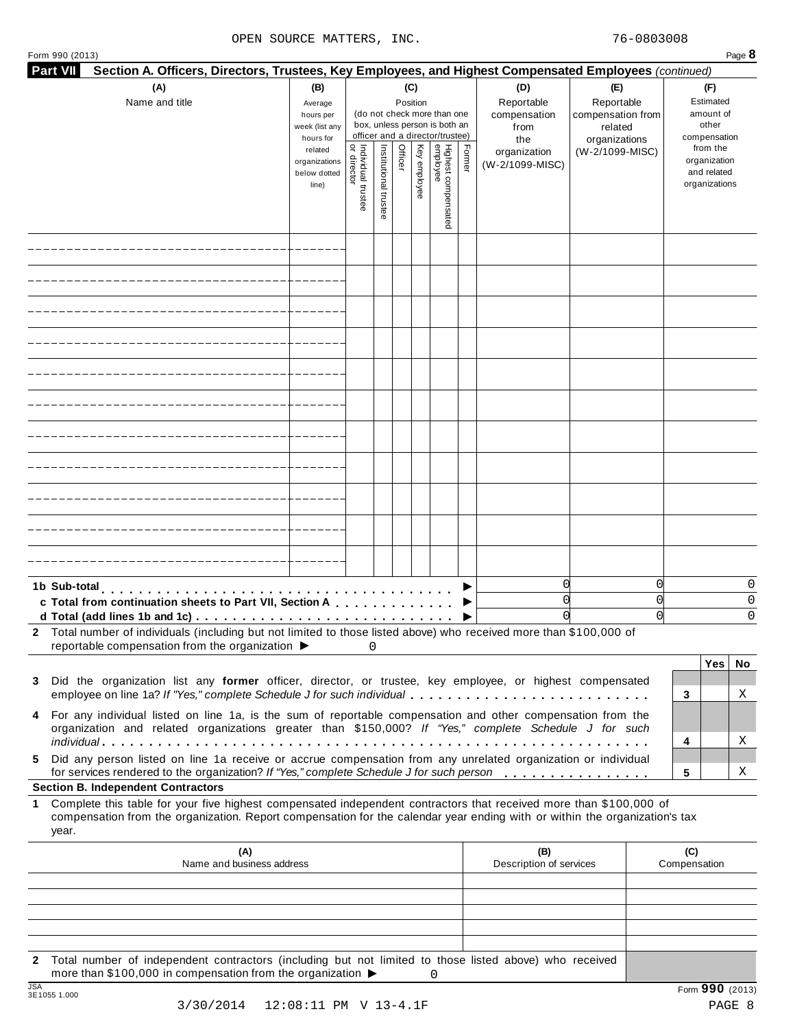| Form 990 (2013)                                                                                                                                                                                                           |                               |                                |                       |          |              |                                 |        |                                |                              |   | Page 8                      |
|---------------------------------------------------------------------------------------------------------------------------------------------------------------------------------------------------------------------------|-------------------------------|--------------------------------|-----------------------|----------|--------------|---------------------------------|--------|--------------------------------|------------------------------|---|-----------------------------|
| <b>Part VII</b><br>Section A. Officers, Directors, Trustees, Key Employees, and Highest Compensated Employees (continued)                                                                                                 |                               |                                |                       |          |              |                                 |        |                                |                              |   |                             |
| (A)                                                                                                                                                                                                                       | (B)                           |                                |                       | (C)      |              |                                 |        | (D)                            | (E)                          |   | (F)                         |
| Name and title                                                                                                                                                                                                            | Average                       |                                |                       | Position |              | (do not check more than one     |        | Reportable                     | Reportable                   |   | Estimated<br>amount of      |
|                                                                                                                                                                                                                           | hours per<br>week (list any   |                                |                       |          |              | box, unless person is both an   |        | compensation<br>from           | compensation from<br>related |   | other                       |
|                                                                                                                                                                                                                           | hours for                     |                                |                       |          |              | officer and a director/trustee) |        | the                            | organizations                |   | compensation                |
|                                                                                                                                                                                                                           | related                       | ă                              |                       | Officer  |              | Highest compensated<br>employee | Former | organization                   | (W-2/1099-MISC)              |   | from the                    |
|                                                                                                                                                                                                                           | organizations<br>below dotted | Individual trustee<br>director | Institutional trustee |          | Key employee |                                 |        | (W-2/1099-MISC)                |                              |   | organization<br>and related |
|                                                                                                                                                                                                                           | line)                         |                                |                       |          |              |                                 |        |                                |                              |   | organizations               |
|                                                                                                                                                                                                                           |                               |                                |                       |          |              |                                 |        |                                |                              |   |                             |
|                                                                                                                                                                                                                           |                               |                                |                       |          |              |                                 |        |                                |                              |   |                             |
|                                                                                                                                                                                                                           |                               |                                |                       |          |              |                                 |        |                                |                              |   |                             |
|                                                                                                                                                                                                                           |                               |                                |                       |          |              |                                 |        |                                |                              |   |                             |
|                                                                                                                                                                                                                           |                               |                                |                       |          |              |                                 |        |                                |                              |   |                             |
|                                                                                                                                                                                                                           |                               |                                |                       |          |              |                                 |        |                                |                              |   |                             |
|                                                                                                                                                                                                                           |                               |                                |                       |          |              |                                 |        |                                |                              |   |                             |
|                                                                                                                                                                                                                           |                               |                                |                       |          |              |                                 |        |                                |                              |   |                             |
|                                                                                                                                                                                                                           |                               |                                |                       |          |              |                                 |        |                                |                              |   |                             |
|                                                                                                                                                                                                                           |                               |                                |                       |          |              |                                 |        |                                |                              |   |                             |
|                                                                                                                                                                                                                           |                               |                                |                       |          |              |                                 |        |                                |                              |   |                             |
|                                                                                                                                                                                                                           |                               |                                |                       |          |              |                                 |        |                                |                              |   |                             |
|                                                                                                                                                                                                                           |                               |                                |                       |          |              |                                 |        |                                |                              |   |                             |
|                                                                                                                                                                                                                           |                               |                                |                       |          |              |                                 |        |                                |                              |   |                             |
|                                                                                                                                                                                                                           |                               |                                |                       |          |              |                                 |        |                                |                              |   |                             |
|                                                                                                                                                                                                                           |                               |                                |                       |          |              |                                 |        |                                |                              |   |                             |
|                                                                                                                                                                                                                           |                               |                                |                       |          |              |                                 |        |                                |                              |   |                             |
|                                                                                                                                                                                                                           |                               |                                |                       |          |              |                                 |        |                                |                              |   |                             |
|                                                                                                                                                                                                                           |                               |                                |                       |          |              |                                 |        |                                |                              |   |                             |
|                                                                                                                                                                                                                           |                               |                                |                       |          |              |                                 |        |                                |                              |   |                             |
|                                                                                                                                                                                                                           |                               |                                |                       |          |              |                                 |        |                                |                              |   |                             |
|                                                                                                                                                                                                                           |                               |                                |                       |          |              |                                 |        |                                |                              |   |                             |
|                                                                                                                                                                                                                           |                               |                                |                       |          |              |                                 |        |                                |                              |   |                             |
|                                                                                                                                                                                                                           |                               |                                |                       |          |              |                                 |        |                                |                              |   |                             |
|                                                                                                                                                                                                                           |                               |                                |                       |          |              |                                 |        |                                |                              |   |                             |
| 1b Sub-total<br>de la característica de la característica                                                                                                                                                                 |                               |                                |                       |          |              |                                 |        | 0                              |                              | 0 | 0                           |
| c Total from continuation sheets to Part VII, Section A                                                                                                                                                                   |                               |                                |                       |          |              |                                 |        | 0                              |                              | 0 | 0                           |
| d Total (add lines 1b and 1c)                                                                                                                                                                                             |                               |                                |                       |          |              |                                 |        | 0                              |                              | 0 | $\Omega$                    |
| 2 Total number of individuals (including but not limited to those listed above) who received more than \$100,000 of                                                                                                       |                               |                                |                       |          |              |                                 |        |                                |                              |   |                             |
| reportable compensation from the organization ▶                                                                                                                                                                           |                               | 0                              |                       |          |              |                                 |        |                                |                              |   |                             |
|                                                                                                                                                                                                                           |                               |                                |                       |          |              |                                 |        |                                |                              |   | Yes<br>No                   |
| Did the organization list any former officer, director, or trustee, key employee, or highest compensated<br>3                                                                                                             |                               |                                |                       |          |              |                                 |        |                                |                              |   |                             |
| employee on line 1a? If "Yes," complete Schedule J for such individual                                                                                                                                                    |                               |                                |                       |          |              |                                 |        |                                |                              |   | Χ<br>3                      |
|                                                                                                                                                                                                                           |                               |                                |                       |          |              |                                 |        |                                |                              |   |                             |
| For any individual listed on line 1a, is the sum of reportable compensation and other compensation from the<br>4<br>organization and related organizations greater than \$150,000? If "Yes," complete Schedule J for such |                               |                                |                       |          |              |                                 |        |                                |                              |   |                             |
|                                                                                                                                                                                                                           |                               |                                |                       |          |              |                                 |        |                                |                              |   | Χ<br>4                      |
| Did any person listed on line 1a receive or accrue compensation from any unrelated organization or individual<br>5                                                                                                        |                               |                                |                       |          |              |                                 |        |                                |                              |   |                             |
| for services rendered to the organization? If "Yes," complete Schedule J for such person                                                                                                                                  |                               |                                |                       |          |              |                                 |        |                                |                              |   | Χ<br>5                      |
| <b>Section B. Independent Contractors</b>                                                                                                                                                                                 |                               |                                |                       |          |              |                                 |        |                                |                              |   |                             |
| Complete this table for your five highest compensated independent contractors that received more than \$100,000 of<br>1                                                                                                   |                               |                                |                       |          |              |                                 |        |                                |                              |   |                             |
| compensation from the organization. Report compensation for the calendar year ending with or within the organization's tax                                                                                                |                               |                                |                       |          |              |                                 |        |                                |                              |   |                             |
| year.                                                                                                                                                                                                                     |                               |                                |                       |          |              |                                 |        |                                |                              |   |                             |
|                                                                                                                                                                                                                           |                               |                                |                       |          |              |                                 |        |                                |                              |   |                             |
| (A)<br>Name and business address                                                                                                                                                                                          |                               |                                |                       |          |              |                                 |        | (B)<br>Description of services |                              |   | (C)<br>Compensation         |
|                                                                                                                                                                                                                           |                               |                                |                       |          |              |                                 |        |                                |                              |   |                             |
|                                                                                                                                                                                                                           |                               |                                |                       |          |              |                                 |        |                                |                              |   |                             |
|                                                                                                                                                                                                                           |                               |                                |                       |          |              |                                 |        |                                |                              |   |                             |
|                                                                                                                                                                                                                           |                               |                                |                       |          |              |                                 |        |                                |                              |   |                             |

**2** Total number of independent contractors (including but not limited to those listed above) who received more than \$100,000 in compensation from the organization  $\triangleright$ <br>3E1055 1.000 0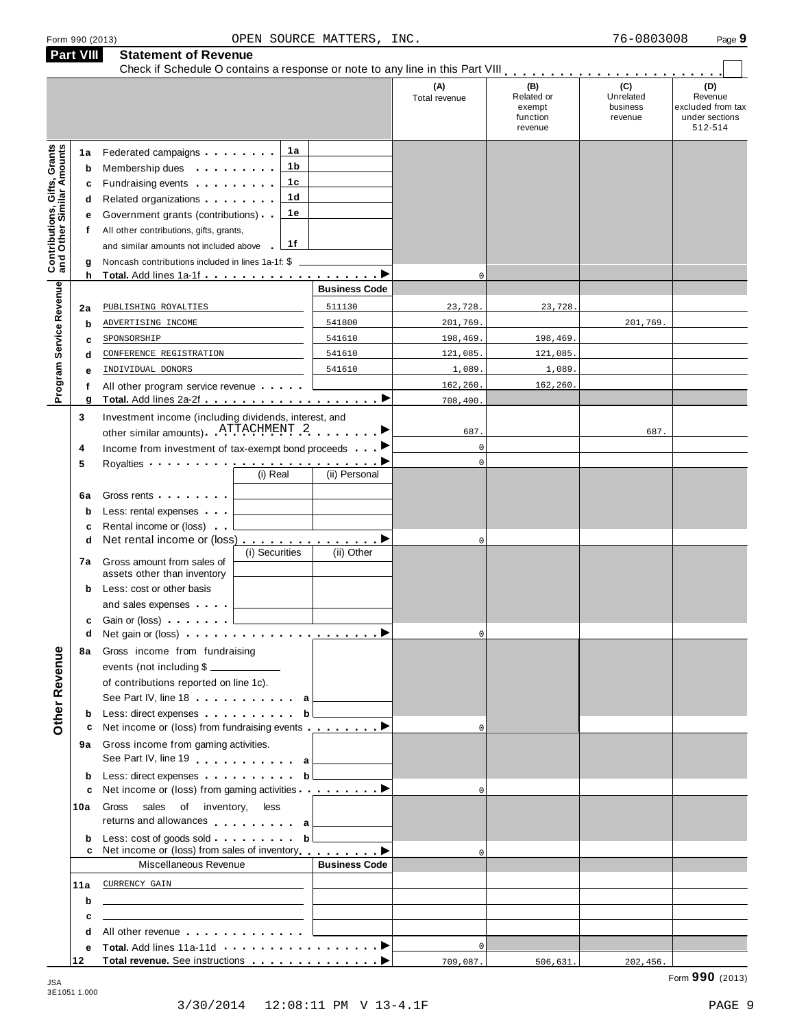|                                                                  | Part VIII                        | <b>Statement of Revenue</b>                                                                                                                                                                                                                                                                                                                                                                                                                                                                                                                                                                                 |                            |                                 |                                                    |                                         |                                                                  |
|------------------------------------------------------------------|----------------------------------|-------------------------------------------------------------------------------------------------------------------------------------------------------------------------------------------------------------------------------------------------------------------------------------------------------------------------------------------------------------------------------------------------------------------------------------------------------------------------------------------------------------------------------------------------------------------------------------------------------------|----------------------------|---------------------------------|----------------------------------------------------|-----------------------------------------|------------------------------------------------------------------|
|                                                                  |                                  |                                                                                                                                                                                                                                                                                                                                                                                                                                                                                                                                                                                                             |                            | (A)<br>Total revenue            | (B)<br>Related or<br>exempt<br>function<br>revenue | (C)<br>Unrelated<br>business<br>revenue | (D)<br>Revenue<br>excluded from tax<br>under sections<br>512-514 |
| <b>Contributions, Gifts, Grants</b><br>and Other Similar Amounts | 1a<br>b<br>c<br>d<br>е<br>f<br>g | 1a<br>Federated campaigns <b>Federated</b><br>1 b<br>Membership dues <b>All Accords</b> Membership dues<br>1c<br>Fundraising events <b>Fundraising</b><br>1 <sub>d</sub><br>Related organizations <b>and the set of the set of the set of the set of the set of the set of the set of the set of the set of the set of the set of the set of the set of the set of the set of the set of the set of the set </b><br>1е<br>Government grants (contributions)<br>All other contributions, gifts, grants,<br>1f<br>and similar amounts not included above<br>Noncash contributions included in lines 1a-1f: \$ |                            |                                 |                                                    |                                         |                                                                  |
|                                                                  | h                                |                                                                                                                                                                                                                                                                                                                                                                                                                                                                                                                                                                                                             | <b>Business Code</b>       | $\mathbf 0$                     |                                                    |                                         |                                                                  |
| Program Service Revenue                                          | 2a<br>$\mathbf b$<br>c           | PUBLISHING ROYALTIES<br>ADVERTISING INCOME<br>SPONSORSHIP                                                                                                                                                                                                                                                                                                                                                                                                                                                                                                                                                   | 511130<br>541800<br>541610 | 23,728.<br>201,769.<br>198,469. | 23,728<br>198,469.                                 | 201,769.                                |                                                                  |
|                                                                  | d                                | CONFERENCE REGISTRATION                                                                                                                                                                                                                                                                                                                                                                                                                                                                                                                                                                                     | 541610                     | 121,085.                        | 121,085.                                           |                                         |                                                                  |
|                                                                  | е                                | INDIVIDUAL DONORS                                                                                                                                                                                                                                                                                                                                                                                                                                                                                                                                                                                           | 541610                     | 1,089<br>162,260.               | 1,089                                              |                                         |                                                                  |
|                                                                  | f<br>g                           | All other program service revenue                                                                                                                                                                                                                                                                                                                                                                                                                                                                                                                                                                           |                            | 708,400.                        | 162,260.                                           |                                         |                                                                  |
|                                                                  | 3<br>4                           | Investment income (including dividends, interest, and<br>other similar amounts) ATTACHMENT 2<br>Income from investment of tax-exempt bond proceeds                                                                                                                                                                                                                                                                                                                                                                                                                                                          |                            | 687.<br>$\mathbf 0$             |                                                    | 687.                                    |                                                                  |
|                                                                  | 5                                | Royalties <b>Example 2</b> and the set of the set of the set of the set of the set of the set of the set of the set of the set of the set of the set of the set of the set of the set of the set of the set of the set of the set o<br>(i) Real                                                                                                                                                                                                                                                                                                                                                             | (ii) Personal              | $\mathbf 0$                     |                                                    |                                         |                                                                  |
|                                                                  | 6a<br>b<br>c                     | Gross rents <b>Container and Container</b><br>Less: rental expenses<br>Rental income or (loss)                                                                                                                                                                                                                                                                                                                                                                                                                                                                                                              |                            |                                 |                                                    |                                         |                                                                  |
|                                                                  | d<br>7а                          | Net rental income or (loss) ▶<br>(i) Securities<br>Gross amount from sales of                                                                                                                                                                                                                                                                                                                                                                                                                                                                                                                               | (ii) Other                 | $\mathbf 0$                     |                                                    |                                         |                                                                  |
|                                                                  | b                                | assets other than inventory<br>Less: cost or other basis                                                                                                                                                                                                                                                                                                                                                                                                                                                                                                                                                    |                            |                                 |                                                    |                                         |                                                                  |
|                                                                  | c<br>d                           | and sales expenses<br>Gain or (loss)<br>Net gain or (loss) $\ldots$ $\ldots$ $\ldots$ $\ldots$ $\ldots$ $\ldots$ $\blacktriangleright$                                                                                                                                                                                                                                                                                                                                                                                                                                                                      |                            | $\mathbf 0$                     |                                                    |                                         |                                                                  |
| Other Revenue                                                    | 8а                               | Gross income from fundraising<br>events (not including \$<br>of contributions reported on line 1c).<br>See Part IV, line 18 a                                                                                                                                                                                                                                                                                                                                                                                                                                                                               |                            |                                 |                                                    |                                         |                                                                  |
|                                                                  | b                                | Less: direct expenses b                                                                                                                                                                                                                                                                                                                                                                                                                                                                                                                                                                                     |                            |                                 |                                                    |                                         |                                                                  |
|                                                                  | с                                | Net income or (loss) from fundraising events <b></b> ▶<br>9a Gross income from gaming activities.<br>See Part IV, line 19 a                                                                                                                                                                                                                                                                                                                                                                                                                                                                                 |                            | $\Omega$                        |                                                    |                                         |                                                                  |
|                                                                  | b                                | Less: direct expenses b                                                                                                                                                                                                                                                                                                                                                                                                                                                                                                                                                                                     |                            |                                 |                                                    |                                         |                                                                  |
|                                                                  | c<br>10a                         | Net income or (loss) from gaming activities <u></u><br>Gross sales of inventory, less<br>returns and allowances a                                                                                                                                                                                                                                                                                                                                                                                                                                                                                           | <u> 1999 - Jan Jawa</u>    | $\Omega$                        |                                                    |                                         |                                                                  |
|                                                                  | b                                | Net income or (loss) from sales of inventory <b>example to all example to all example to all example to all example to all example to all example to all example to all example to all example to all example to all example to</b>                                                                                                                                                                                                                                                                                                                                                                         |                            | $\Omega$                        |                                                    |                                         |                                                                  |
|                                                                  |                                  | Miscellaneous Revenue                                                                                                                                                                                                                                                                                                                                                                                                                                                                                                                                                                                       | <b>Business Code</b>       |                                 |                                                    |                                         |                                                                  |
|                                                                  | 11a                              | CURRENCY GAIN<br><u> 1989 - John Stein, Amerikaansk politiker (</u>                                                                                                                                                                                                                                                                                                                                                                                                                                                                                                                                         |                            |                                 |                                                    |                                         |                                                                  |
|                                                                  | b                                | the control of the control of the control of the control of the control of the control of                                                                                                                                                                                                                                                                                                                                                                                                                                                                                                                   |                            |                                 |                                                    |                                         |                                                                  |
|                                                                  | c<br>d                           | <u> 1989 - Johann Stein, mars an deus Amerikaansk kommunister (</u><br>All other revenue entitled and the control of the control of the control of the control of the control of the control of the control of the control of the control of the control of the control of the control of the control                                                                                                                                                                                                                                                                                                       |                            |                                 |                                                    |                                         |                                                                  |
|                                                                  | е                                |                                                                                                                                                                                                                                                                                                                                                                                                                                                                                                                                                                                                             |                            | $\mathbf 0$                     |                                                    |                                         |                                                                  |
|                                                                  | 12                               |                                                                                                                                                                                                                                                                                                                                                                                                                                                                                                                                                                                                             |                            | 709,087.                        | 506,631.                                           | 202,456.                                |                                                                  |

3E1051 1.000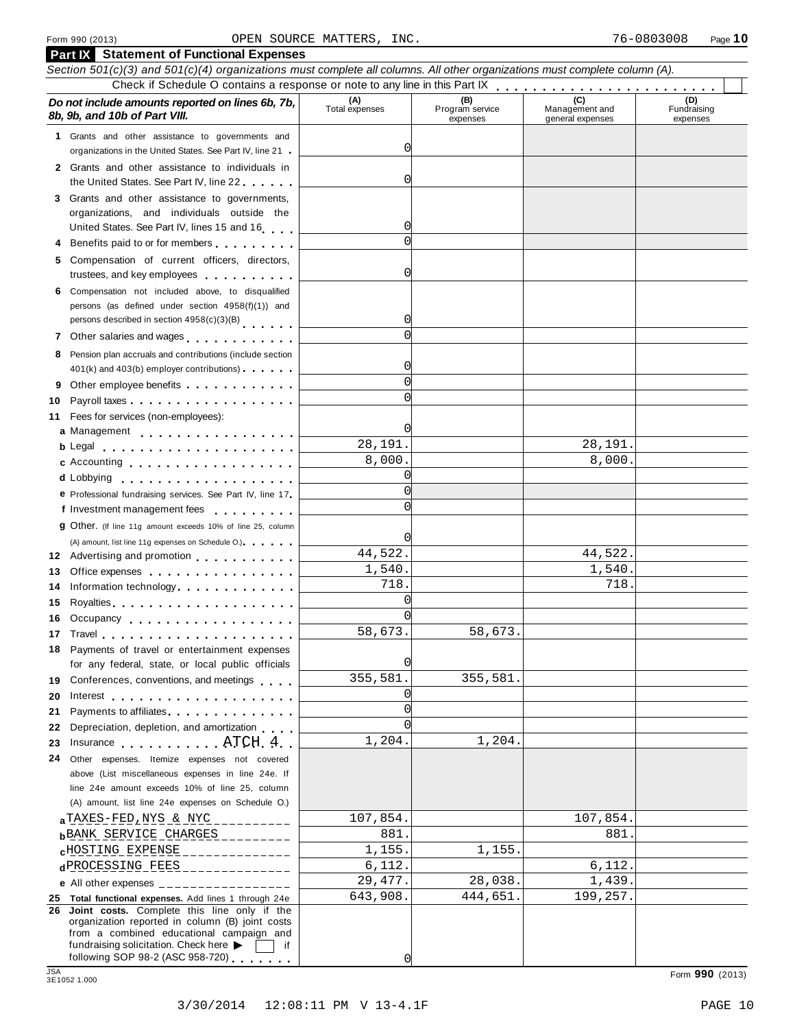|            | <b>Part IX</b> Statement of Functional Expenses                                                                            |                       |                                    |                                    |                                |
|------------|----------------------------------------------------------------------------------------------------------------------------|-----------------------|------------------------------------|------------------------------------|--------------------------------|
|            | Section 501(c)(3) and 501(c)(4) organizations must complete all columns. All other organizations must complete column (A). |                       |                                    |                                    |                                |
|            |                                                                                                                            |                       |                                    |                                    |                                |
|            | Do not include amounts reported on lines 6b, 7b,<br>8b, 9b, and 10b of Part VIII.                                          | (A)<br>Total expenses | (B)<br>Program service<br>expenses | Management and<br>general expenses | (D)<br>Fundraising<br>expenses |
|            | 1 Grants and other assistance to governments and                                                                           |                       |                                    |                                    |                                |
|            | organizations in the United States. See Part IV, line 21                                                                   | 0                     |                                    |                                    |                                |
|            | 2 Grants and other assistance to individuals in                                                                            |                       |                                    |                                    |                                |
|            | the United States. See Part IV, line 22                                                                                    | 0                     |                                    |                                    |                                |
|            | 3 Grants and other assistance to governments,                                                                              |                       |                                    |                                    |                                |
|            | organizations, and individuals outside the                                                                                 | 0                     |                                    |                                    |                                |
|            | United States. See Part IV, lines 15 and 16                                                                                | $\Omega$              |                                    |                                    |                                |
|            | 4 Benefits paid to or for members                                                                                          |                       |                                    |                                    |                                |
|            | 5 Compensation of current officers, directors,<br>trustees, and key employees                                              | 0                     |                                    |                                    |                                |
|            | 6 Compensation not included above, to disqualified                                                                         |                       |                                    |                                    |                                |
|            | persons (as defined under section 4958(f)(1)) and                                                                          |                       |                                    |                                    |                                |
|            | persons described in section 4958(c)(3)(B)                                                                                 | 0                     |                                    |                                    |                                |
|            | 7 Other salaries and wages                                                                                                 | $\Omega$              |                                    |                                    |                                |
|            | 8 Pension plan accruals and contributions (include section                                                                 |                       |                                    |                                    |                                |
|            | 401(k) and 403(b) employer contributions)                                                                                  | 0                     |                                    |                                    |                                |
|            | Other employee benefits                                                                                                    | $\Omega$              |                                    |                                    |                                |
| 10         |                                                                                                                            | $\Omega$              |                                    |                                    |                                |
| 11         | Fees for services (non-employees):                                                                                         |                       |                                    |                                    |                                |
|            | a Management                                                                                                               | 0l                    |                                    |                                    |                                |
|            |                                                                                                                            | 28,191.               |                                    | 28,191.                            |                                |
|            | <b>c</b> Accounting <b>c</b> Accounting                                                                                    | 8,000.                |                                    | 8,000.                             |                                |
|            | d Lobbying                                                                                                                 | 0                     |                                    |                                    |                                |
|            | e Professional fundraising services. See Part IV, line 17                                                                  | $\Omega$              |                                    |                                    |                                |
|            | f Investment management fees                                                                                               |                       |                                    |                                    |                                |
|            | 9 Other. (If line 11g amount exceeds 10% of line 25, column                                                                |                       |                                    |                                    |                                |
|            | (A) amount, list line 11g expenses on Schedule O.)                                                                         |                       |                                    |                                    |                                |
|            | 12 Advertising and promotion                                                                                               | 44,522.               |                                    | 44,522.                            |                                |
| 13         | Office expenses extensive and the set of the set of the set of the set of the set of the set of the set of the             | 1,540.<br>718.        |                                    | 1,540.<br>718.                     |                                |
| 14         | Information technology                                                                                                     | $\Omega$              |                                    |                                    |                                |
| 15         |                                                                                                                            | $\Omega$              |                                    |                                    |                                |
|            | 16 Occupancy                                                                                                               | 58,673.               | 58,673.                            |                                    |                                |
| 17         | Travel entering the series of the series of the series of the series of the series of the series of the series             |                       |                                    |                                    |                                |
|            | 18 Payments of travel or entertainment expenses<br>for any federal, state, or local public officials                       | O                     |                                    |                                    |                                |
|            | 19 Conferences, conventions, and meetings                                                                                  | 355,581.              | 355,581.                           |                                    |                                |
| 20         | Interest $\ldots$ , $\ldots$ , $\ldots$ , $\ldots$ , $\ldots$ , $\ldots$ , $\ldots$                                        | 0                     |                                    |                                    |                                |
| 21         | Payments to affiliates <b>Exercise 2.1 Fig. 1.1 Fig. 1.1</b>                                                               | $\Omega$              |                                    |                                    |                                |
| 22         | Depreciation, depletion, and amortization                                                                                  | $\cap$                |                                    |                                    |                                |
| 23         | Insurance ATCH 4                                                                                                           | 1,204.                | 1,204.                             |                                    |                                |
| 24         | Other expenses. Itemize expenses not covered                                                                               |                       |                                    |                                    |                                |
|            | above (List miscellaneous expenses in line 24e. If                                                                         |                       |                                    |                                    |                                |
|            | line 24e amount exceeds 10% of line 25, column                                                                             |                       |                                    |                                    |                                |
|            | (A) amount, list line 24e expenses on Schedule O.)                                                                         |                       |                                    |                                    |                                |
|            | $a$ TAXES-FED, NYS & NYC __________                                                                                        | 107,854.              |                                    | 107,854.                           |                                |
|            | $b$ BANK SERVICE CHARGES                                                                                                   | 881.                  |                                    | 881.                               |                                |
|            | $c$ HOSTING EXPENSE ______________                                                                                         | 1,155.                | 1,155.                             |                                    |                                |
|            | dPROCESSING FEES _______________                                                                                           | 6,112.                |                                    | 6,112.                             |                                |
|            | e All other expenses $\frac{1}{1}$                                                                                         | 29, 477.              | 28,038.                            | 1,439.                             |                                |
|            | 25 Total functional expenses. Add lines 1 through 24e<br>26 Joint costs. Complete this line only if the                    | 643,908.              | 444,651.                           | 199,257.                           |                                |
|            | organization reported in column (B) joint costs                                                                            |                       |                                    |                                    |                                |
|            | from a combined educational campaign and                                                                                   |                       |                                    |                                    |                                |
|            | fundraising solicitation. Check here $\blacktriangleright$<br>if.<br>following SOP 98-2 (ASC 958-720)                      | 0l                    |                                    |                                    |                                |
| <b>JSA</b> |                                                                                                                            |                       |                                    |                                    | Form 990 (2013)                |
|            | 3E1052 1.000                                                                                                               |                       |                                    |                                    |                                |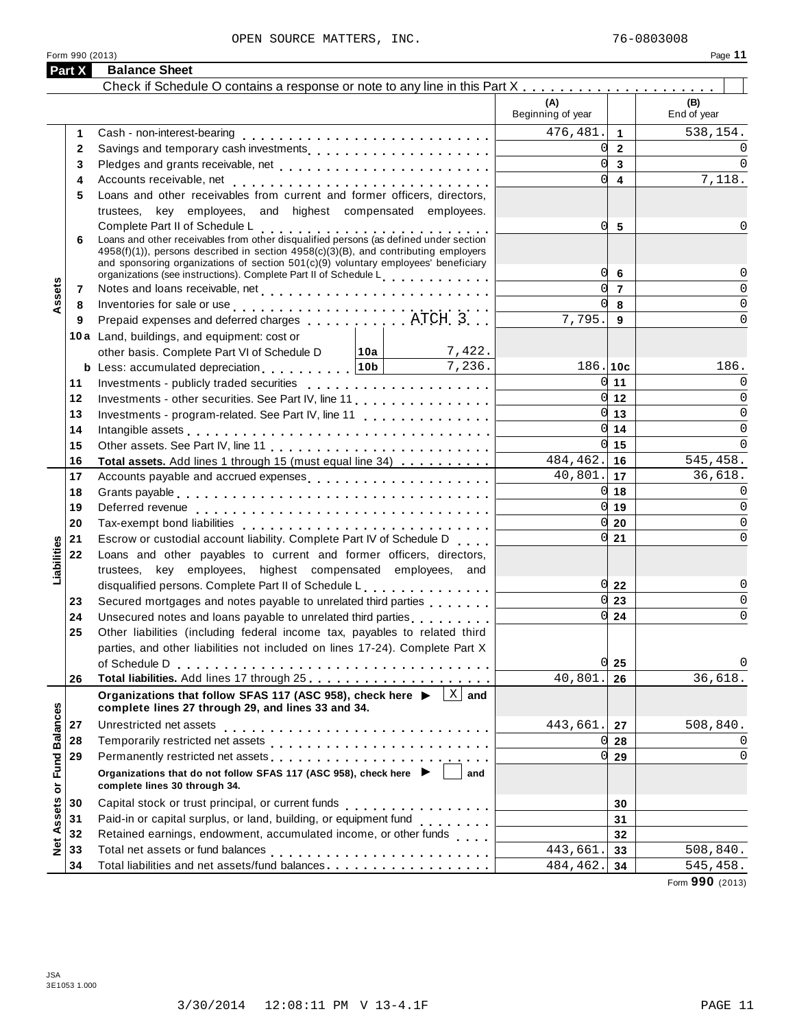|                      | Part X | <b>Balance Sheet</b>                                                                                                                                                                                                                                                                                                                        |                          |                                  |                    |
|----------------------|--------|---------------------------------------------------------------------------------------------------------------------------------------------------------------------------------------------------------------------------------------------------------------------------------------------------------------------------------------------|--------------------------|----------------------------------|--------------------|
|                      |        |                                                                                                                                                                                                                                                                                                                                             |                          |                                  |                    |
|                      |        |                                                                                                                                                                                                                                                                                                                                             | (A)<br>Beginning of year |                                  | (B)<br>End of year |
|                      | 1      | Cash - non-interest-bearing                                                                                                                                                                                                                                                                                                                 | 476,481.                 | $\mathbf{1}$                     | 538,154.           |
|                      | 2      | Savings and temporary cash investments                                                                                                                                                                                                                                                                                                      | <sub>0</sub>             | $\overline{2}$                   | 0                  |
|                      | 3      |                                                                                                                                                                                                                                                                                                                                             | $\mathsf{Q}$             | $\mathbf{3}$                     | $\Omega$           |
|                      | 4      |                                                                                                                                                                                                                                                                                                                                             | <sub>0</sub>             | $\overline{4}$                   | 7,118.             |
|                      | 5      | Loans and other receivables from current and former officers, directors,                                                                                                                                                                                                                                                                    |                          |                                  |                    |
|                      |        | trustees, key employees, and highest compensated employees.                                                                                                                                                                                                                                                                                 |                          |                                  | 0                  |
|                      | 6      | Complete Part II of Schedule L<br>Complete Part II of Schedule L<br>Loans and other receivables from other disqualified persons (as defined under section<br>$4958(f)(1)$ , persons described in section $4958(c)(3)(B)$ , and contributing employers<br>and sponsoring organizations of section 501(c)(9) voluntary employees' beneficiary | 0                        | 5                                |                    |
|                      |        | organizations (see instructions). Complete Part II of Schedule Letter and Letter Letter Letter                                                                                                                                                                                                                                              | <sub>0</sub>             | $6\phantom{1}6$                  | $\Omega$           |
| Assets               | 7      |                                                                                                                                                                                                                                                                                                                                             | <sub>0</sub>             | $\overline{7}$                   | $\Omega$           |
|                      | 8      | Inventories for sale or use $\ldots \ldots \ldots \ldots \ldots \ldots \ldots \ldots$                                                                                                                                                                                                                                                       | <sub>0</sub>             | 8                                | $\mathbf 0$        |
|                      | 9      | Prepaid expenses and deferred charges experiences. ATCH 3                                                                                                                                                                                                                                                                                   | 7,795.                   | 9                                | $\Omega$           |
|                      |        | 10a Land, buildings, and equipment: cost or                                                                                                                                                                                                                                                                                                 |                          |                                  |                    |
|                      |        | 7,422.<br>other basis. Complete Part VI of Schedule D 10a                                                                                                                                                                                                                                                                                   |                          |                                  |                    |
|                      |        | 7,236.<br>b Less: accumulated depreciation10b                                                                                                                                                                                                                                                                                               | 186.10c                  |                                  | 186.               |
|                      | 11     |                                                                                                                                                                                                                                                                                                                                             |                          | $0 \vert 11$                     | 0                  |
|                      | 12     | Investments - other securities. See Part IV, line 11                                                                                                                                                                                                                                                                                        |                          | $0 \vert 12$                     | $\Omega$           |
|                      | 13     | Investments - program-related. See Part IV, line 11                                                                                                                                                                                                                                                                                         |                          | $\overline{0}$ 13                | $\Omega$           |
|                      | 14     |                                                                                                                                                                                                                                                                                                                                             |                          | $0 \vert 14$                     | $\mathbf 0$        |
|                      | 15     |                                                                                                                                                                                                                                                                                                                                             |                          | $0 \vert 15$                     | $\Omega$           |
|                      | 16     | Total assets. Add lines 1 through 15 (must equal line 34)                                                                                                                                                                                                                                                                                   | $484, 462.$ 16           |                                  | 545,458.           |
|                      | 17     | Accounts payable and accrued expenses                                                                                                                                                                                                                                                                                                       | $40,801.$ 17             |                                  | 36,618.            |
|                      | 18     |                                                                                                                                                                                                                                                                                                                                             |                          | $0 \vert 18$                     | $\Omega$           |
|                      | 19     |                                                                                                                                                                                                                                                                                                                                             |                          | $0 \vert 19$                     | $\Omega$           |
|                      | 20     |                                                                                                                                                                                                                                                                                                                                             |                          | $0\sqrt{20}$                     | $\Omega$           |
|                      | 21     | Escrow or custodial account liability. Complete Part IV of Schedule D                                                                                                                                                                                                                                                                       |                          | $0\vert 21$                      | 0                  |
| Liabilities          | 22     | Loans and other payables to current and former officers, directors,                                                                                                                                                                                                                                                                         |                          |                                  |                    |
|                      |        | trustees, key employees, highest compensated employees, and                                                                                                                                                                                                                                                                                 |                          |                                  |                    |
|                      |        | disqualified persons. Complete Part II of Schedule L.                                                                                                                                                                                                                                                                                       |                          | $0\overline{22}$                 | 0                  |
|                      | 23     | Secured mortgages and notes payable to unrelated third parties                                                                                                                                                                                                                                                                              |                          | $\overline{0}$ 23                | 0                  |
|                      | 24     |                                                                                                                                                                                                                                                                                                                                             |                          | $0 \overline{\smash{\big)}\ 24}$ | $\mathbf 0$        |
|                      | 25     | Other liabilities (including federal income tax, payables to related third                                                                                                                                                                                                                                                                  |                          |                                  |                    |
|                      |        | parties, and other liabilities not included on lines 17-24). Complete Part X                                                                                                                                                                                                                                                                |                          |                                  |                    |
|                      |        | of Schedule D                                                                                                                                                                                                                                                                                                                               |                          | $0\vert 25$                      | 0                  |
|                      | 26     |                                                                                                                                                                                                                                                                                                                                             | 40,801                   | 26                               | 36,618.            |
|                      |        | $\lfloor x \rfloor$ and<br>Organizations that follow SFAS 117 (ASC 958), check here ▶<br>complete lines 27 through 29, and lines 33 and 34.                                                                                                                                                                                                 |                          |                                  |                    |
|                      | 27     | Unrestricted net assets                                                                                                                                                                                                                                                                                                                     | 443,661.                 | 27                               | 508,840.           |
|                      | 28     |                                                                                                                                                                                                                                                                                                                                             | 0l                       | 28                               | 0                  |
|                      | 29     | Permanently restricted net assets<br>intervals and intervals are not restricted to the set of assets are not restricted to the set of the set of the set of the set of the set of the set of the set of the set of the set of th                                                                                                            | 0l                       | 29                               | 0                  |
| <b>Fund Balances</b> |        | Organizations that do not follow SFAS 117 (ASC 958), check here ▶<br>and<br>complete lines 30 through 34.                                                                                                                                                                                                                                   |                          |                                  |                    |
|                      | 30     | Capital stock or trust principal, or current funds                                                                                                                                                                                                                                                                                          |                          | 30                               |                    |
| Assets or            | 31     | .<br>Paid-in or capital surplus, or land, building, or equipment fund                                                                                                                                                                                                                                                                       |                          | 31                               |                    |
|                      | 32     | Retained earnings, endowment, accumulated income, or other funds                                                                                                                                                                                                                                                                            |                          | 32                               |                    |
| Net.                 | 33     |                                                                                                                                                                                                                                                                                                                                             | 443,661                  | 33                               | 508,840.           |
|                      | 34     | Total liabilities and net assets/fund balances.                                                                                                                                                                                                                                                                                             | 484,462.                 | 34                               | 545,458.           |
|                      |        |                                                                                                                                                                                                                                                                                                                                             |                          |                                  |                    |

Form **990** (2013)

Form 990 (2013)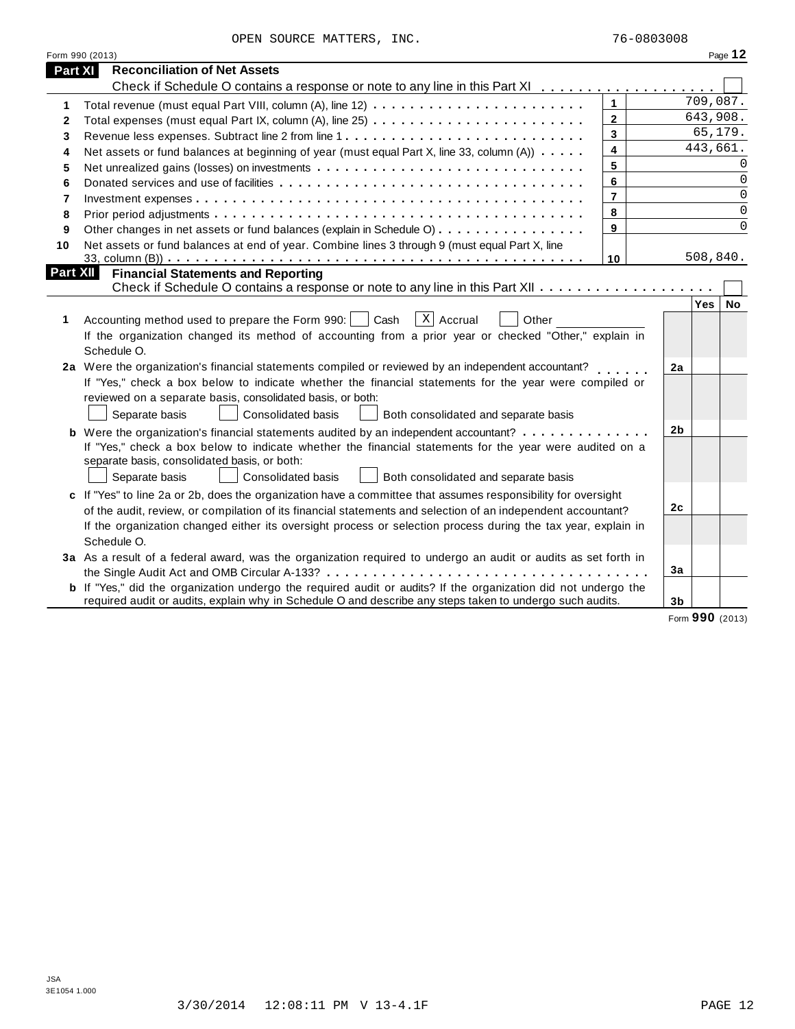|                 | Form 990 (2013)                                                                                                                                                                                                                                                                                                                        |                |          |                |          | Page 12   |
|-----------------|----------------------------------------------------------------------------------------------------------------------------------------------------------------------------------------------------------------------------------------------------------------------------------------------------------------------------------------|----------------|----------|----------------|----------|-----------|
| Part XI         | <b>Reconciliation of Net Assets</b>                                                                                                                                                                                                                                                                                                    |                |          |                |          |           |
|                 | Check if Schedule O contains a response or note to any line in this Part XI                                                                                                                                                                                                                                                            |                |          |                |          |           |
| 1               |                                                                                                                                                                                                                                                                                                                                        | $\mathbf{1}$   |          |                | 709,087. |           |
| 2               |                                                                                                                                                                                                                                                                                                                                        | $\overline{2}$ |          |                | 643,908. |           |
| 3               |                                                                                                                                                                                                                                                                                                                                        | $\mathbf{3}$   |          |                | 65,179.  |           |
| 4               | Net assets or fund balances at beginning of year (must equal Part X, line 33, column (A))                                                                                                                                                                                                                                              | 4              | 443,661. |                |          |           |
| 5               |                                                                                                                                                                                                                                                                                                                                        | 5              |          |                |          | $\Omega$  |
| 6               |                                                                                                                                                                                                                                                                                                                                        | 6              |          |                |          | $\Omega$  |
| 7               |                                                                                                                                                                                                                                                                                                                                        |                |          |                | $\Omega$ |           |
| 8               |                                                                                                                                                                                                                                                                                                                                        | 8              |          |                |          | 0         |
| 9               | Other changes in net assets or fund balances (explain in Schedule O)                                                                                                                                                                                                                                                                   | 9              |          |                |          | $\Omega$  |
| 10              | Net assets or fund balances at end of year. Combine lines 3 through 9 (must equal Part X, line                                                                                                                                                                                                                                         |                |          |                |          |           |
|                 |                                                                                                                                                                                                                                                                                                                                        | 10             |          |                | 508,840. |           |
| <b>Part XII</b> | <b>Financial Statements and Reporting</b>                                                                                                                                                                                                                                                                                              |                |          |                |          |           |
|                 |                                                                                                                                                                                                                                                                                                                                        |                |          |                |          |           |
| 1               | $\overline{X}$ Accrual<br>Accounting method used to prepare the Form 990:     Cash<br>Other<br>If the organization changed its method of accounting from a prior year or checked "Other," explain in<br>Schedule O.                                                                                                                    |                |          |                | Yes      | <b>No</b> |
|                 | 2a Were the organization's financial statements compiled or reviewed by an independent accountant?<br>If "Yes," check a box below to indicate whether the financial statements for the year were compiled or                                                                                                                           |                |          | 2a             |          |           |
|                 | reviewed on a separate basis, consolidated basis, or both:                                                                                                                                                                                                                                                                             |                |          |                |          |           |
|                 | Separate basis<br>Consolidated basis<br>Both consolidated and separate basis                                                                                                                                                                                                                                                           |                |          |                |          |           |
|                 | <b>b</b> Were the organization's financial statements audited by an independent accountant?<br>If "Yes," check a box below to indicate whether the financial statements for the year were audited on a<br>separate basis, consolidated basis, or both:<br>Consolidated basis<br>Both consolidated and separate basis<br>Separate basis |                |          | 2 <sub>b</sub> |          |           |
|                 | c If "Yes" to line 2a or 2b, does the organization have a committee that assumes responsibility for oversight                                                                                                                                                                                                                          |                |          |                |          |           |
|                 | of the audit, review, or compilation of its financial statements and selection of an independent accountant?                                                                                                                                                                                                                           |                |          | 2 <sub>c</sub> |          |           |
|                 | If the organization changed either its oversight process or selection process during the tax year, explain in<br>Schedule O.                                                                                                                                                                                                           |                |          |                |          |           |
|                 | 3a As a result of a federal award, was the organization required to undergo an audit or audits as set forth in                                                                                                                                                                                                                         |                |          |                |          |           |
|                 |                                                                                                                                                                                                                                                                                                                                        |                |          | 3a             |          |           |
|                 | <b>b</b> If "Yes," did the organization undergo the required audit or audits? If the organization did not undergo the                                                                                                                                                                                                                  |                |          |                |          |           |
|                 | required audit or audits, explain why in Schedule O and describe any steps taken to undergo such audits.                                                                                                                                                                                                                               |                |          | 3 <sub>b</sub> |          |           |

Form **990** (2013)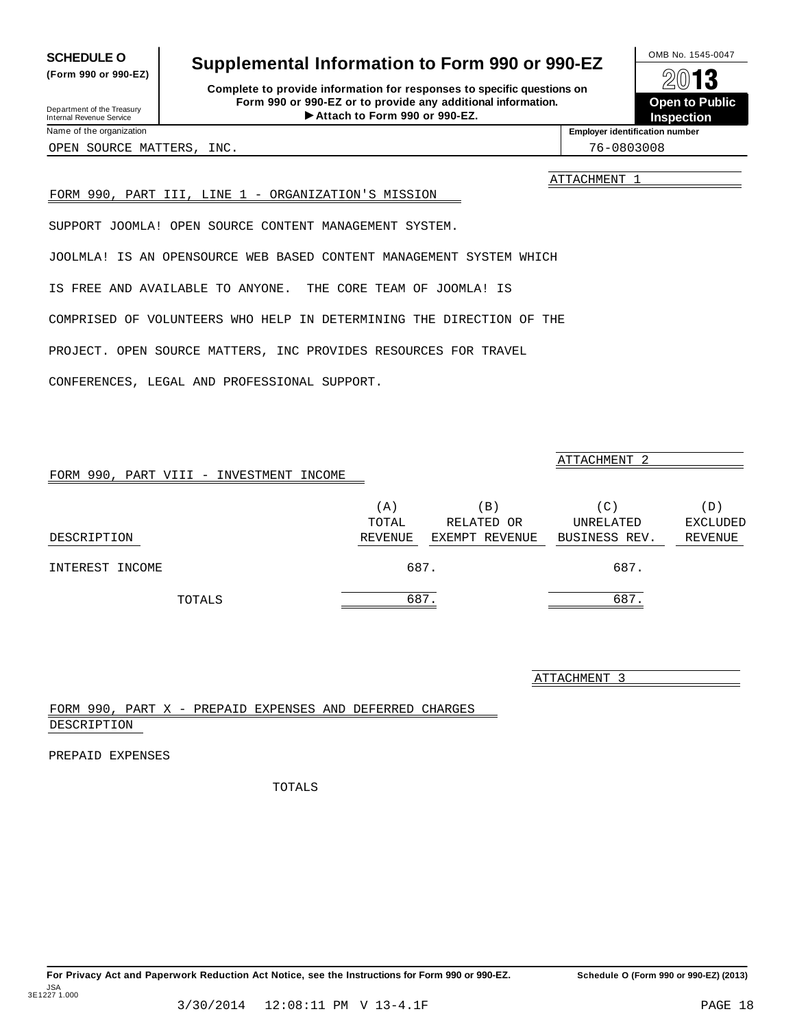For Privacy Act and Paperwork Reduction Act Notice, see the Instructions for Form 990 or 990-EZ. Schedule O (Form 990 or 990-EZ) (2013)

## <span id="page-13-0"></span>**SCHEDULE O** Supplemental Information to Form 990 or 990-EZ  $\frac{100\text{dB No. }1545-0047}{\text{O}}$

**Complete to provide information for responses to specific questions on Form 990 or 990-EZ or to provide any additional information.** Fraction of the Proposes to specific questions on<br>
10-EZ or to provide any additional information.<br>
Attach to Form 990 or 990-EZ.<br>
Attach to Form 990 or 990-EZ. Department of the Treasury Internal Revenue Service I

**Open to Public**

**Inspection** Name of the organization **intervalse of the organization intervalse of the organization intervalse of the organization intervalse of the organization intervalse of the organization intervalse of the organization** 

OPEN SOURCE MATTERS, INC. THE SOURCE OPEN SOURCE MATTERS, INC.

**(Form 990 or 990-EZ)**

ATTACHMENT 1

## FORM 990, PART III, LINE 1 - ORGANIZATION'S MISSION

SUPPORT JOOMLA! OPEN SOURCE CONTENT MANAGEMENT SYSTEM.

JOOLMLA! IS AN OPENSOURCE WEB BASED CONTENT MANAGEMENT SYSTEM WHICH

IS FREE AND AVAILABLE TO ANYONE. THE CORE TEAM OF JOOMLA! IS

COMPRISED OF VOLUNTEERS WHO HELP IN DETERMINING THE DIRECTION OF THE

PROJECT. OPEN SOURCE MATTERS, INC PROVIDES RESOURCES FOR TRAVEL

CONFERENCES, LEGAL AND PROFESSIONAL SUPPORT.

| FORM 990, PART VIII - INVESTMENT INCOME |              |                               | ATTACHMENT <sub>2</sub> |                        |
|-----------------------------------------|--------------|-------------------------------|-------------------------|------------------------|
|                                         | (A)<br>TOTAL | $\vert B \vert$<br>RELATED OR | (C)<br>UNRELATED        | (D)<br><b>EXCLUDED</b> |
| DESCRIPTION                             | REVENUE      | EXEMPT REVENUE                | BUSINESS REV.           | REVENUE                |
| INTEREST INCOME                         |              | 687.                          | 687.                    |                        |
| TOTALS                                  |              | 687.                          | 687                     |                        |

ATTACHMENT 3

FORM 990, PART X - PREPAID EXPENSES AND DEFERRED CHARGES DESCRIPTION

PREPAID EXPENSES

JSA 3E1227 1.000

TOTALS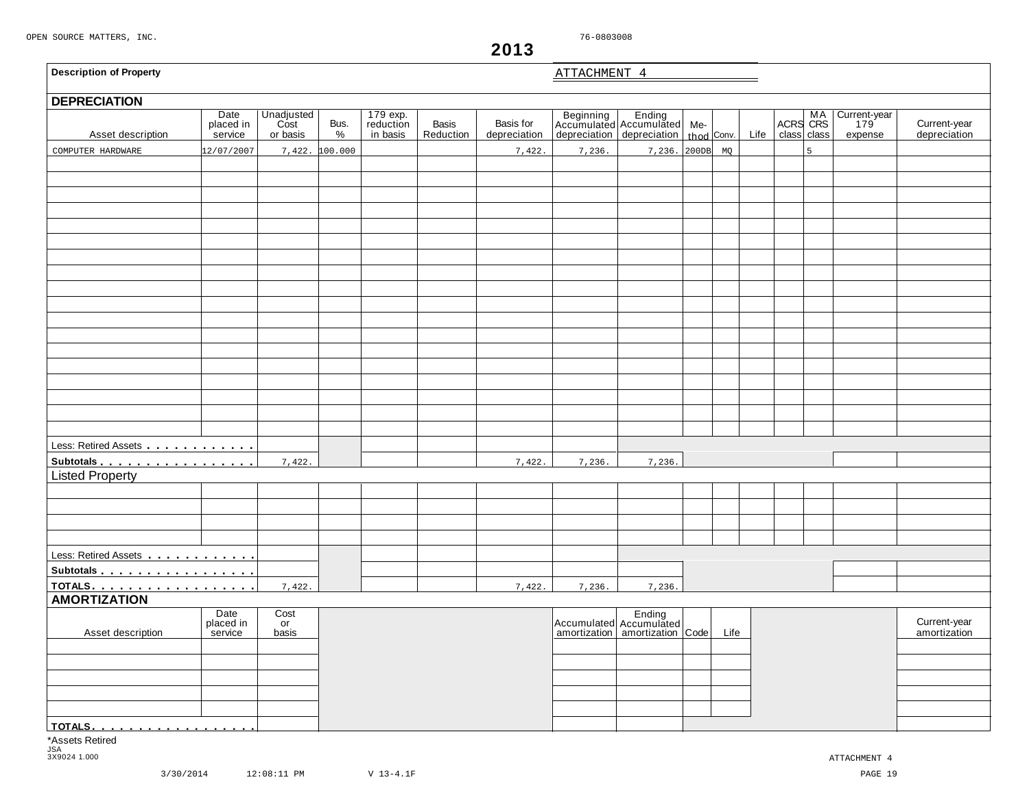<span id="page-14-0"></span>

| <b>Description of Property</b> |                              |                                |                |                                   |                           |                           | ATTACHMENT 4 |                                                                                         |      |      |         |             |                                |                              |
|--------------------------------|------------------------------|--------------------------------|----------------|-----------------------------------|---------------------------|---------------------------|--------------|-----------------------------------------------------------------------------------------|------|------|---------|-------------|--------------------------------|------------------------------|
| <b>DEPRECIATION</b>            |                              |                                |                |                                   |                           |                           |              |                                                                                         |      |      |         |             |                                |                              |
| Asset description              | Date<br>placed in<br>service | Unadjusted<br>Cost<br>or basis | Bus.<br>$\%$   | 179 exp.<br>reduction<br>in basis | <b>Basis</b><br>Reduction | Basis for<br>depreciation |              | Beginning Ending<br>Accumulated Accumulated Me-<br>depreciation depreciation thod Conv. |      | Life | ACRS MA | class class | Current-year<br>179<br>expense | Current-year<br>depreciation |
| COMPUTER HARDWARE              | 12/07/2007                   |                                | 7,422. 100.000 |                                   |                           | 7,422.                    | 7,236.       | 7,236. 200DB                                                                            | MQ   |      |         | 5           |                                |                              |
|                                |                              |                                |                |                                   |                           |                           |              |                                                                                         |      |      |         |             |                                |                              |
|                                |                              |                                |                |                                   |                           |                           |              |                                                                                         |      |      |         |             |                                |                              |
|                                |                              |                                |                |                                   |                           |                           |              |                                                                                         |      |      |         |             |                                |                              |
|                                |                              |                                |                |                                   |                           |                           |              |                                                                                         |      |      |         |             |                                |                              |
|                                |                              |                                |                |                                   |                           |                           |              |                                                                                         |      |      |         |             |                                |                              |
|                                |                              |                                |                |                                   |                           |                           |              |                                                                                         |      |      |         |             |                                |                              |
|                                |                              |                                |                |                                   |                           |                           |              |                                                                                         |      |      |         |             |                                |                              |
|                                |                              |                                |                |                                   |                           |                           |              |                                                                                         |      |      |         |             |                                |                              |
|                                |                              |                                |                |                                   |                           |                           |              |                                                                                         |      |      |         |             |                                |                              |
|                                |                              |                                |                |                                   |                           |                           |              |                                                                                         |      |      |         |             |                                |                              |
|                                |                              |                                |                |                                   |                           |                           |              |                                                                                         |      |      |         |             |                                |                              |
|                                |                              |                                |                |                                   |                           |                           |              |                                                                                         |      |      |         |             |                                |                              |
|                                |                              |                                |                |                                   |                           |                           |              |                                                                                         |      |      |         |             |                                |                              |
|                                |                              |                                |                |                                   |                           |                           |              |                                                                                         |      |      |         |             |                                |                              |
|                                |                              |                                |                |                                   |                           |                           |              |                                                                                         |      |      |         |             |                                |                              |
|                                |                              |                                |                |                                   |                           |                           |              |                                                                                         |      |      |         |             |                                |                              |
|                                |                              |                                |                |                                   |                           |                           |              |                                                                                         |      |      |         |             |                                |                              |
|                                |                              |                                |                |                                   |                           |                           |              |                                                                                         |      |      |         |             |                                |                              |
|                                |                              |                                |                |                                   |                           |                           |              |                                                                                         |      |      |         |             |                                |                              |
| Less: Retired Assets           |                              |                                |                |                                   |                           |                           |              |                                                                                         |      |      |         |             |                                |                              |
| Subtotals                      |                              | 7,422.                         |                |                                   |                           | 7,422.                    | 7,236.       | 7,236.                                                                                  |      |      |         |             |                                |                              |
| <b>Listed Property</b>         |                              |                                |                |                                   |                           |                           |              |                                                                                         |      |      |         |             |                                |                              |
|                                |                              |                                |                |                                   |                           |                           |              |                                                                                         |      |      |         |             |                                |                              |
|                                |                              |                                |                |                                   |                           |                           |              |                                                                                         |      |      |         |             |                                |                              |
|                                |                              |                                |                |                                   |                           |                           |              |                                                                                         |      |      |         |             |                                |                              |
|                                |                              |                                |                |                                   |                           |                           |              |                                                                                         |      |      |         |             |                                |                              |
| Less: Retired Assets           |                              |                                |                |                                   |                           |                           |              |                                                                                         |      |      |         |             |                                |                              |
| Subtotals                      |                              |                                |                |                                   |                           |                           |              |                                                                                         |      |      |         |             |                                |                              |
| <u>TOTALS.</u>                 |                              | 7,422.                         |                |                                   |                           | 7,422.                    | 7,236.       | 7,236.                                                                                  |      |      |         |             |                                |                              |
| <b>AMORTIZATION</b>            |                              |                                |                |                                   |                           |                           |              |                                                                                         |      |      |         |             |                                |                              |
|                                | Date                         | Cost                           |                |                                   |                           |                           |              | Accumulated Accumulated                                                                 |      |      |         |             |                                |                              |
| Asset description              | placed in<br>service         | or<br>basis                    |                |                                   |                           |                           |              | amortization   amortization   Code                                                      | Life |      |         |             |                                | Current-year<br>amortization |
|                                |                              |                                |                |                                   |                           |                           |              |                                                                                         |      |      |         |             |                                |                              |
|                                |                              |                                |                |                                   |                           |                           |              |                                                                                         |      |      |         |             |                                |                              |
|                                |                              |                                |                |                                   |                           |                           |              |                                                                                         |      |      |         |             |                                |                              |
|                                |                              |                                |                |                                   |                           |                           |              |                                                                                         |      |      |         |             |                                |                              |
|                                |                              |                                |                |                                   |                           |                           |              |                                                                                         |      |      |         |             |                                |                              |
|                                |                              |                                |                |                                   |                           |                           |              |                                                                                         |      |      |         |             |                                |                              |
| <u>  TOTALS.</u>               |                              |                                |                |                                   |                           |                           |              |                                                                                         |      |      |         |             |                                |                              |
| *Assets Retired                |                              |                                |                |                                   |                           |                           |              |                                                                                         |      |      |         |             |                                |                              |
| <b>JSA</b><br>3X9024 1.000     |                              |                                |                |                                   |                           |                           |              |                                                                                         |      |      |         |             | ATTACHMENT 4                   |                              |

**2013**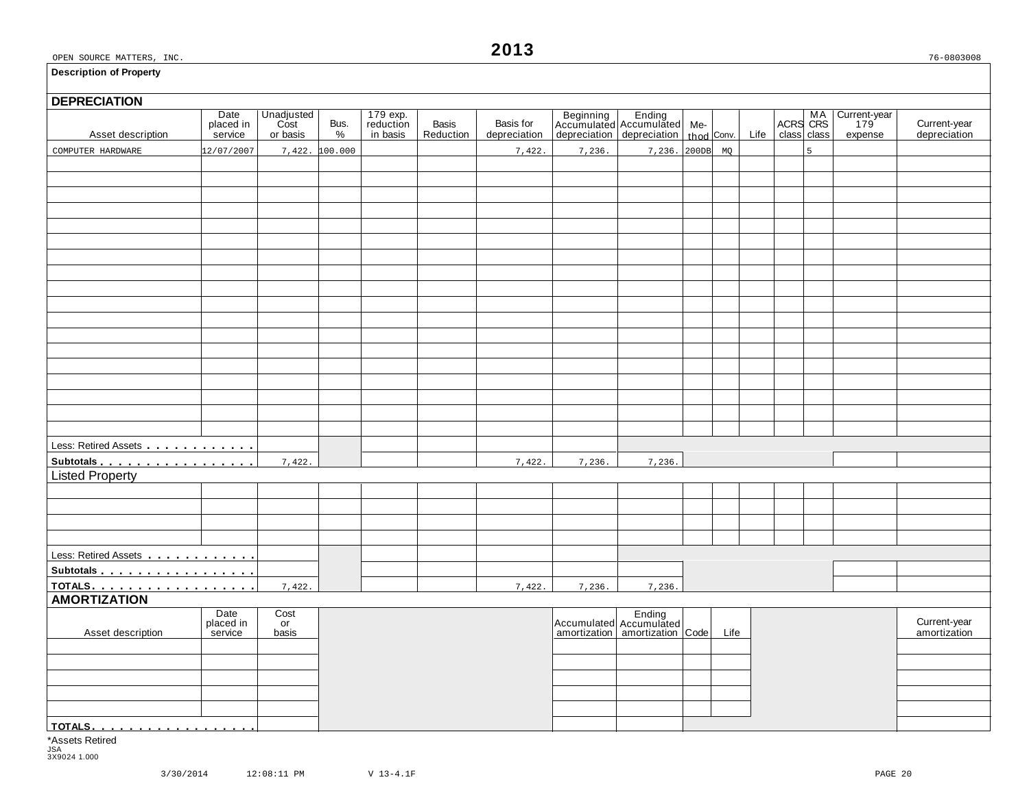#### **Description of Property**

# **DEPRECIATION** Asset description Date Unadjusted Bus. 179 exp. Basis Basis for Beginning Ending Me- MA Current-year placed in Cost Bus. reduction Basis Basis for Accumulated Accumulated Me- MA Current-year placed in Cost Bus. reduction B Less: Retired Assets **manual** m m m m m m m m m m **Subtotals mate mate of manufacturers**<br>Listed Property Less: Retired Assets m m m m m m m m m m m m **Subtotals** m m m m m m m m m m m m m m m m m **TOTALS** m m m m m m m m m m m m m m m m m m **AMORTIZATION** and Date Cost Date Cost Ending Ending<br>
Placed in or placed in the current-year late of Accumulated Accumulated Accumulated Life amortization amortization<br>
Asset description service basis amortization amortization amortizat **TOTALS** m m m m m m m m m m m m m m m m m m COMPUTER HARDWARE  $\begin{bmatrix} 12/07/2007 & 7,422 & 100.000 \end{bmatrix}$  7,422.  $\begin{bmatrix} 7,422 & 7,236. \end{bmatrix}$  7,236. 200DB MQ 7,422. 7,422. 7,422. 7,4236. 7,236. 7,422. 7,422. 7,422. 7,236. 7,236.

\*Assets Retired JSA 3X9024 1.000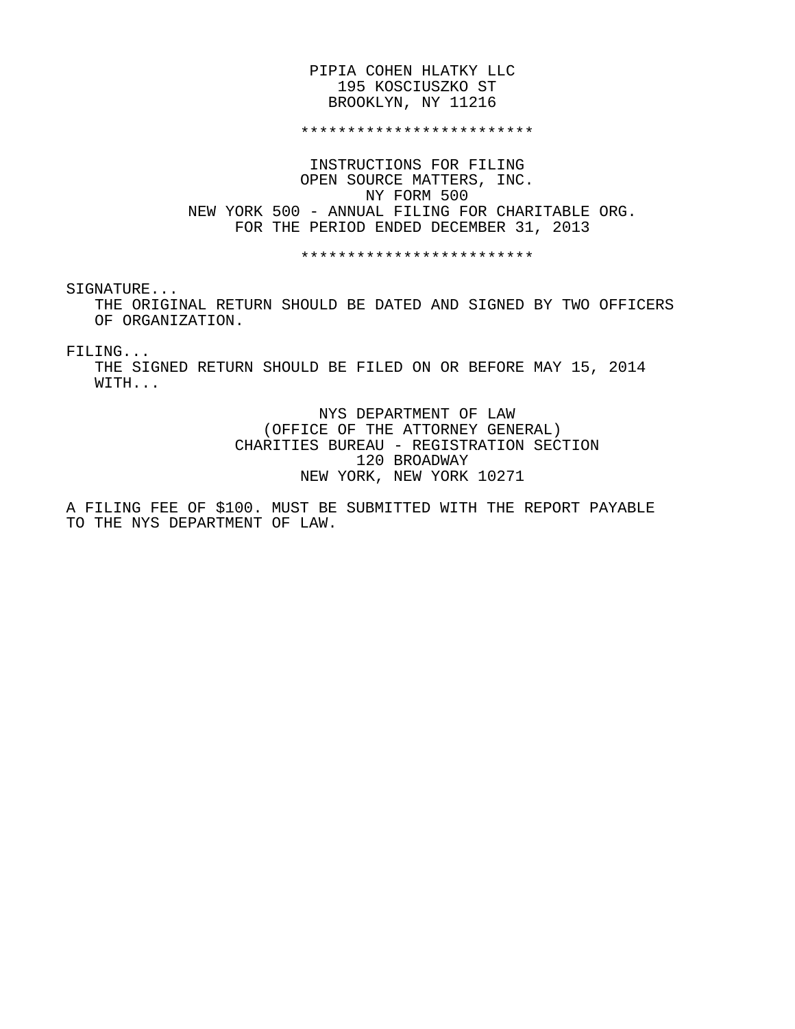## PIPIA COHEN HLATKY LLC 195 KOSCIUSZKO ST BROOKLYN, NY 11216

#### \*\*\*\*\*\*\*\*\*\*\*\*\*\*\*\*\*\*\*\*\*\*\*\*\*

 INSTRUCTIONS FOR FILING OPEN SOURCE MATTERS, INC. NY FORM 500 NEW YORK 500 - ANNUAL FILING FOR CHARITABLE ORG. FOR THE PERIOD ENDED DECEMBER 31, 2013

\*\*\*\*\*\*\*\*\*\*\*\*\*\*\*\*\*\*\*\*\*\*\*\*\*

SIGNATURE...

 THE ORIGINAL RETURN SHOULD BE DATED AND SIGNED BY TWO OFFICERS OF ORGANIZATION.

FILING...

 THE SIGNED RETURN SHOULD BE FILED ON OR BEFORE MAY 15, 2014 WITH...

> NYS DEPARTMENT OF LAW (OFFICE OF THE ATTORNEY GENERAL) CHARITIES BUREAU - REGISTRATION SECTION 120 BROADWAY NEW YORK, NEW YORK 10271

A FILING FEE OF \$100. MUST BE SUBMITTED WITH THE REPORT PAYABLE TO THE NYS DEPARTMENT OF LAW.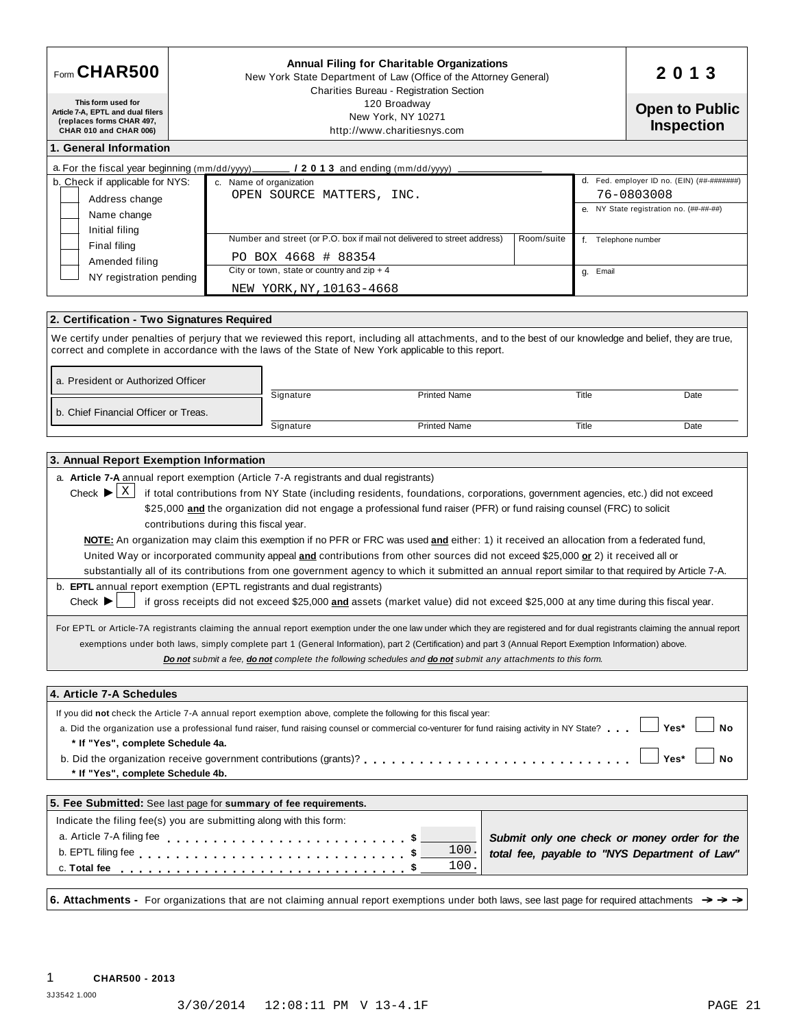| Form CHAR500                                                                                                    |                                                                                       |                                              | <b>Annual Filing for Charitable Organizations</b><br>New York State Department of Law (Office of the Attorney General)<br>Charities Bureau - Registration Section                                                                                                                                                                                                                                                                                                                                                                                                                                                                                                                                                                                                                                                                                                                                                                                                                                                                   |  |                     | 2013                                          |
|-----------------------------------------------------------------------------------------------------------------|---------------------------------------------------------------------------------------|----------------------------------------------|-------------------------------------------------------------------------------------------------------------------------------------------------------------------------------------------------------------------------------------------------------------------------------------------------------------------------------------------------------------------------------------------------------------------------------------------------------------------------------------------------------------------------------------------------------------------------------------------------------------------------------------------------------------------------------------------------------------------------------------------------------------------------------------------------------------------------------------------------------------------------------------------------------------------------------------------------------------------------------------------------------------------------------------|--|---------------------|-----------------------------------------------|
| This form used for<br>Article 7-A, EPTL and dual filers<br>(replaces forms CHAR 497,<br>CHAR 010 and CHAR 006)  |                                                                                       |                                              | 120 Broadway<br>New York, NY 10271<br>http://www.charitiesnys.com                                                                                                                                                                                                                                                                                                                                                                                                                                                                                                                                                                                                                                                                                                                                                                                                                                                                                                                                                                   |  |                     | <b>Open to Public</b><br><b>Inspection</b>    |
| 1. General Information                                                                                          |                                                                                       |                                              |                                                                                                                                                                                                                                                                                                                                                                                                                                                                                                                                                                                                                                                                                                                                                                                                                                                                                                                                                                                                                                     |  |                     |                                               |
| a. For the fiscal year beginning $(mm/dd/yyy)$                                                                  |                                                                                       |                                              | $\sim$ / 2 0 1 3 and ending (mm/dd/yyyy)                                                                                                                                                                                                                                                                                                                                                                                                                                                                                                                                                                                                                                                                                                                                                                                                                                                                                                                                                                                            |  |                     |                                               |
| b. Check if applicable for NYS:                                                                                 |                                                                                       | c. Name of organization                      |                                                                                                                                                                                                                                                                                                                                                                                                                                                                                                                                                                                                                                                                                                                                                                                                                                                                                                                                                                                                                                     |  |                     | d. Fed. employer ID no. (EIN) (##-########)   |
| Address change                                                                                                  |                                                                                       | OPEN SOURCE MATTERS, INC.                    |                                                                                                                                                                                                                                                                                                                                                                                                                                                                                                                                                                                                                                                                                                                                                                                                                                                                                                                                                                                                                                     |  |                     | 76-0803008                                    |
| Name change                                                                                                     |                                                                                       |                                              |                                                                                                                                                                                                                                                                                                                                                                                                                                                                                                                                                                                                                                                                                                                                                                                                                                                                                                                                                                                                                                     |  |                     | e. NY State registration no. (##-##-##)       |
| Initial filing                                                                                                  | Number and street (or P.O. box if mail not delivered to street address)<br>Room/suite |                                              |                                                                                                                                                                                                                                                                                                                                                                                                                                                                                                                                                                                                                                                                                                                                                                                                                                                                                                                                                                                                                                     |  | f. Telephone number |                                               |
| Final filing                                                                                                    |                                                                                       | PO BOX 4668 # 88354                          |                                                                                                                                                                                                                                                                                                                                                                                                                                                                                                                                                                                                                                                                                                                                                                                                                                                                                                                                                                                                                                     |  |                     |                                               |
| Amended filing                                                                                                  |                                                                                       | City or town, state or country and $zip + 4$ |                                                                                                                                                                                                                                                                                                                                                                                                                                                                                                                                                                                                                                                                                                                                                                                                                                                                                                                                                                                                                                     |  | g. Email            |                                               |
| NY registration pending                                                                                         |                                                                                       | NEW YORK, NY, 10163-4668                     |                                                                                                                                                                                                                                                                                                                                                                                                                                                                                                                                                                                                                                                                                                                                                                                                                                                                                                                                                                                                                                     |  |                     |                                               |
|                                                                                                                 |                                                                                       |                                              |                                                                                                                                                                                                                                                                                                                                                                                                                                                                                                                                                                                                                                                                                                                                                                                                                                                                                                                                                                                                                                     |  |                     |                                               |
| 2. Certification - Two Signatures Required                                                                      |                                                                                       |                                              |                                                                                                                                                                                                                                                                                                                                                                                                                                                                                                                                                                                                                                                                                                                                                                                                                                                                                                                                                                                                                                     |  |                     |                                               |
|                                                                                                                 |                                                                                       |                                              | We certify under penalties of perjury that we reviewed this report, including all attachments, and to the best of our knowledge and belief, they are true,<br>correct and complete in accordance with the laws of the State of New York applicable to this report.                                                                                                                                                                                                                                                                                                                                                                                                                                                                                                                                                                                                                                                                                                                                                                  |  |                     |                                               |
| a. President or Authorized Officer                                                                              |                                                                                       | Signature                                    | <b>Printed Name</b>                                                                                                                                                                                                                                                                                                                                                                                                                                                                                                                                                                                                                                                                                                                                                                                                                                                                                                                                                                                                                 |  | Title               | Date                                          |
| b. Chief Financial Officer or Treas.                                                                            |                                                                                       |                                              |                                                                                                                                                                                                                                                                                                                                                                                                                                                                                                                                                                                                                                                                                                                                                                                                                                                                                                                                                                                                                                     |  |                     |                                               |
|                                                                                                                 |                                                                                       | Signature                                    | <b>Printed Name</b>                                                                                                                                                                                                                                                                                                                                                                                                                                                                                                                                                                                                                                                                                                                                                                                                                                                                                                                                                                                                                 |  | Title               | Date                                          |
|                                                                                                                 |                                                                                       |                                              |                                                                                                                                                                                                                                                                                                                                                                                                                                                                                                                                                                                                                                                                                                                                                                                                                                                                                                                                                                                                                                     |  |                     |                                               |
| b. <b>EPTL</b> annual report exemption (EPTL registrants and dual registrants)<br>Check $\blacktriangleright$   | contributions during this fiscal year.                                                |                                              | NOTE: An organization may claim this exemption if no PFR or FRC was used and either: 1) it received an allocation from a federated fund,<br>United Way or incorporated community appeal and contributions from other sources did not exceed \$25,000 or 2) it received all or<br>substantially all of its contributions from one government agency to which it submitted an annual report similar to that required by Article 7-A.<br>if gross receipts did not exceed \$25,000 and assets (market value) did not exceed \$25,000 at any time during this fiscal year.<br>For EPTL or Article-7A registrants claiming the annual report exemption under the one law under which they are registered and for dual registrants claiming the annual report<br>exemptions under both laws, simply complete part 1 (General Information), part 2 (Certification) and part 3 (Annual Report Exemption Information) above.<br>Do not submit a fee, do not complete the following schedules and do not submit any attachments to this form. |  |                     |                                               |
| 4. Article 7-A Schedules                                                                                        |                                                                                       |                                              |                                                                                                                                                                                                                                                                                                                                                                                                                                                                                                                                                                                                                                                                                                                                                                                                                                                                                                                                                                                                                                     |  |                     |                                               |
|                                                                                                                 |                                                                                       |                                              | If you did not check the Article 7-A annual report exemption above, complete the following for this fiscal year:                                                                                                                                                                                                                                                                                                                                                                                                                                                                                                                                                                                                                                                                                                                                                                                                                                                                                                                    |  |                     |                                               |
|                                                                                                                 |                                                                                       |                                              | a. Did the organization use a professional fund raiser, fund raising counsel or commercial co-venturer for fund raising activity in NY State?                                                                                                                                                                                                                                                                                                                                                                                                                                                                                                                                                                                                                                                                                                                                                                                                                                                                                       |  |                     | Yes*<br>No                                    |
| * If "Yes", complete Schedule 4a.                                                                               |                                                                                       |                                              |                                                                                                                                                                                                                                                                                                                                                                                                                                                                                                                                                                                                                                                                                                                                                                                                                                                                                                                                                                                                                                     |  |                     |                                               |
|                                                                                                                 |                                                                                       |                                              |                                                                                                                                                                                                                                                                                                                                                                                                                                                                                                                                                                                                                                                                                                                                                                                                                                                                                                                                                                                                                                     |  |                     | Yes*<br>No                                    |
| * If "Yes", complete Schedule 4b.                                                                               |                                                                                       |                                              |                                                                                                                                                                                                                                                                                                                                                                                                                                                                                                                                                                                                                                                                                                                                                                                                                                                                                                                                                                                                                                     |  |                     |                                               |
| 5. Fee Submitted: See last page for summary of fee requirements.                                                |                                                                                       |                                              |                                                                                                                                                                                                                                                                                                                                                                                                                                                                                                                                                                                                                                                                                                                                                                                                                                                                                                                                                                                                                                     |  |                     |                                               |
| Indicate the filing fee(s) you are submitting along with this form:                                             |                                                                                       |                                              |                                                                                                                                                                                                                                                                                                                                                                                                                                                                                                                                                                                                                                                                                                                                                                                                                                                                                                                                                                                                                                     |  |                     |                                               |
| a. Article 7-A filing fee enterpreed to contact the contact of the contact of the contact of the contact of the |                                                                                       |                                              | \$                                                                                                                                                                                                                                                                                                                                                                                                                                                                                                                                                                                                                                                                                                                                                                                                                                                                                                                                                                                                                                  |  |                     | Submit only one check or money order for the  |
|                                                                                                                 |                                                                                       |                                              | 100.<br>\$                                                                                                                                                                                                                                                                                                                                                                                                                                                                                                                                                                                                                                                                                                                                                                                                                                                                                                                                                                                                                          |  |                     | total fee, payable to "NYS Department of Law" |
|                                                                                                                 |                                                                                       |                                              |                                                                                                                                                                                                                                                                                                                                                                                                                                                                                                                                                                                                                                                                                                                                                                                                                                                                                                                                                                                                                                     |  |                     |                                               |
|                                                                                                                 |                                                                                       |                                              | 100.                                                                                                                                                                                                                                                                                                                                                                                                                                                                                                                                                                                                                                                                                                                                                                                                                                                                                                                                                                                                                                |  |                     |                                               |
|                                                                                                                 |                                                                                       |                                              |                                                                                                                                                                                                                                                                                                                                                                                                                                                                                                                                                                                                                                                                                                                                                                                                                                                                                                                                                                                                                                     |  |                     |                                               |
|                                                                                                                 |                                                                                       |                                              | 6. Attachments - For organizations that are not claiming annual report exemptions under both laws, see last page for required attachments $\rightarrow$                                                                                                                                                                                                                                                                                                                                                                                                                                                                                                                                                                                                                                                                                                                                                                                                                                                                             |  |                     |                                               |

3J3542 1.000